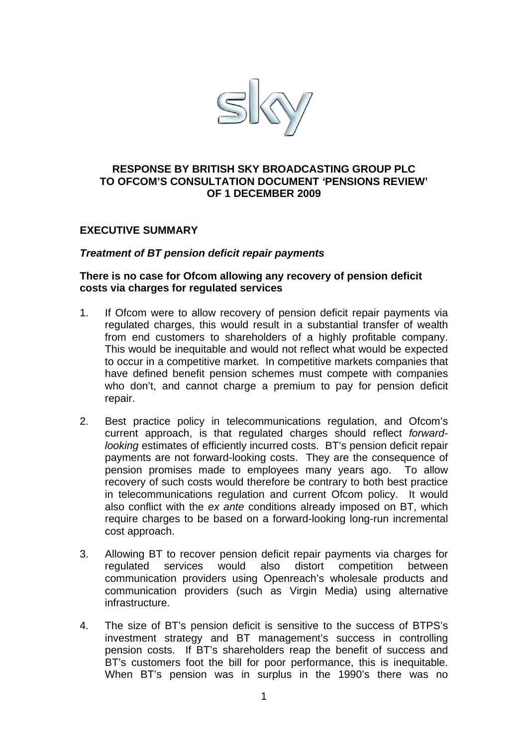

### **RESPONSE BY BRITISH SKY BROADCASTING GROUP PLC TO OFCOM'S CONSULTATION DOCUMENT** *'***PENSIONS REVIEW' OF 1 DECEMBER 2009**

### **EXECUTIVE SUMMARY**

#### *Treatment of BT pension deficit repair payments*

#### **There is no case for Ofcom allowing any recovery of pension deficit costs via charges for regulated services**

- 1. If Ofcom were to allow recovery of pension deficit repair payments via regulated charges, this would result in a substantial transfer of wealth from end customers to shareholders of a highly profitable company. This would be inequitable and would not reflect what would be expected to occur in a competitive market. In competitive markets companies that have defined benefit pension schemes must compete with companies who don't, and cannot charge a premium to pay for pension deficit repair.
- 2. Best practice policy in telecommunications regulation, and Ofcom's current approach, is that regulated charges should reflect *forwardlooking* estimates of efficiently incurred costs. BT's pension deficit repair payments are not forward-looking costs. They are the consequence of pension promises made to employees many years ago. To allow recovery of such costs would therefore be contrary to both best practice in telecommunications regulation and current Ofcom policy. It would also conflict with the *ex ante* conditions already imposed on BT, which require charges to be based on a forward-looking long-run incremental cost approach.
- 3. Allowing BT to recover pension deficit repair payments via charges for regulated services would also distort competition between communication providers using Openreach's wholesale products and communication providers (such as Virgin Media) using alternative infrastructure.
- 4. The size of BT's pension deficit is sensitive to the success of BTPS's investment strategy and BT management's success in controlling pension costs. If BT's shareholders reap the benefit of success and BT's customers foot the bill for poor performance, this is inequitable. When BT's pension was in surplus in the 1990's there was no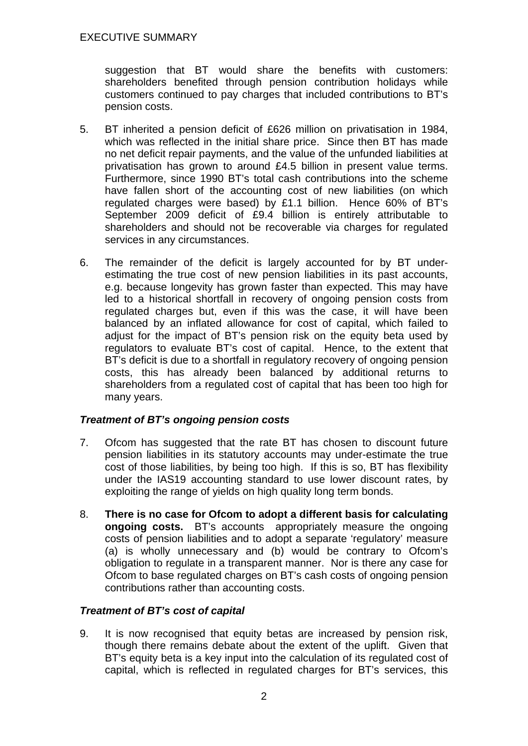suggestion that BT would share the benefits with customers: shareholders benefited through pension contribution holidays while customers continued to pay charges that included contributions to BT's pension costs.

- 5. BT inherited a pension deficit of £626 million on privatisation in 1984, which was reflected in the initial share price. Since then BT has made no net deficit repair payments, and the value of the unfunded liabilities at privatisation has grown to around £4.5 billion in present value terms. Furthermore, since 1990 BT's total cash contributions into the scheme have fallen short of the accounting cost of new liabilities (on which regulated charges were based) by £1.1 billion. Hence 60% of BT's September 2009 deficit of £9.4 billion is entirely attributable to shareholders and should not be recoverable via charges for regulated services in any circumstances.
- 6. The remainder of the deficit is largely accounted for by BT underestimating the true cost of new pension liabilities in its past accounts, e.g. because longevity has grown faster than expected. This may have led to a historical shortfall in recovery of ongoing pension costs from regulated charges but, even if this was the case, it will have been balanced by an inflated allowance for cost of capital, which failed to adjust for the impact of BT's pension risk on the equity beta used by regulators to evaluate BT's cost of capital. Hence, to the extent that BT's deficit is due to a shortfall in regulatory recovery of ongoing pension costs, this has already been balanced by additional returns to shareholders from a regulated cost of capital that has been too high for many years.

## *Treatment of BT's ongoing pension costs*

- 7. Ofcom has suggested that the rate BT has chosen to discount future pension liabilities in its statutory accounts may under-estimate the true cost of those liabilities, by being too high. If this is so, BT has flexibility under the IAS19 accounting standard to use lower discount rates, by exploiting the range of vields on high quality long term bonds.
- 8. **There is no case for Ofcom to adopt a different basis for calculating ongoing costs.** BT's accounts appropriately measure the ongoing costs of pension liabilities and to adopt a separate 'regulatory' measure (a) is wholly unnecessary and (b) would be contrary to Ofcom's obligation to regulate in a transparent manner. Nor is there any case for Ofcom to base regulated charges on BT's cash costs of ongoing pension contributions rather than accounting costs.

## *Treatment of BT's cost of capital*

9. It is now recognised that equity betas are increased by pension risk, though there remains debate about the extent of the uplift. Given that BT's equity beta is a key input into the calculation of its regulated cost of capital, which is reflected in regulated charges for BT's services, this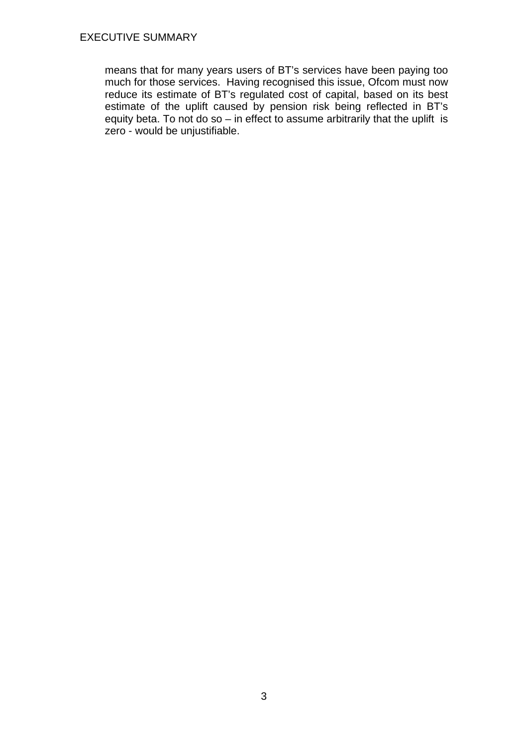means that for many years users of BT's services have been paying too much for those services. Having recognised this issue, Ofcom must now reduce its estimate of BT's regulated cost of capital, based on its best estimate of the uplift caused by pension risk being reflected in BT's equity beta. To not do so – in effect to assume arbitrarily that the uplift is zero - would be unjustifiable.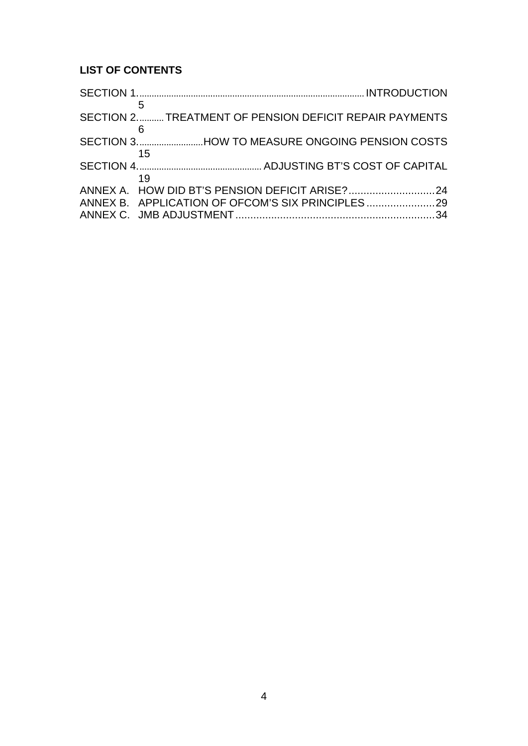# **LIST OF CONTENTS**

| 5  |                                                       |  |
|----|-------------------------------------------------------|--|
|    | SECTION 2TREATMENT OF PENSION DEFICIT REPAIR PAYMENTS |  |
| 6  |                                                       |  |
|    | SECTION 3. HOW TO MEASURE ONGOING PENSION COSTS       |  |
| 15 |                                                       |  |
|    |                                                       |  |
| 19 |                                                       |  |
|    |                                                       |  |
|    | ANNEX B. APPLICATION OF OFCOM'S SIX PRINCIPLES        |  |
|    |                                                       |  |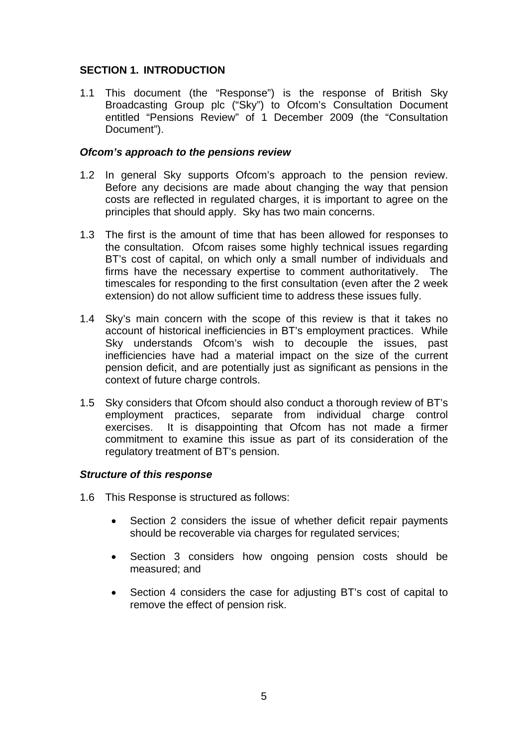## **SECTION 1. INTRODUCTION**

1.1 This document (the "Response") is the response of British Sky Broadcasting Group plc ("Sky") to Ofcom's Consultation Document entitled "Pensions Review" of 1 December 2009 (the "Consultation Document").

### *Ofcom's approach to the pensions review*

- 1.2 In general Sky supports Ofcom's approach to the pension review. Before any decisions are made about changing the way that pension costs are reflected in regulated charges, it is important to agree on the principles that should apply. Sky has two main concerns.
- 1.3 The first is the amount of time that has been allowed for responses to the consultation. Ofcom raises some highly technical issues regarding BT's cost of capital, on which only a small number of individuals and firms have the necessary expertise to comment authoritatively. The timescales for responding to the first consultation (even after the 2 week extension) do not allow sufficient time to address these issues fully.
- 1.4 Sky's main concern with the scope of this review is that it takes no account of historical inefficiencies in BT's employment practices. While Sky understands Ofcom's wish to decouple the issues, past inefficiencies have had a material impact on the size of the current pension deficit, and are potentially just as significant as pensions in the context of future charge controls.
- 1.5 Sky considers that Ofcom should also conduct a thorough review of BT's employment practices, separate from individual charge control exercises. It is disappointing that Ofcom has not made a firmer commitment to examine this issue as part of its consideration of the regulatory treatment of BT's pension.

### *Structure of this response*

- 1.6 This Response is structured as follows:
	- Section 2 considers the issue of whether deficit repair payments should be recoverable via charges for regulated services;
	- Section 3 considers how ongoing pension costs should be measured; and
	- Section 4 considers the case for adjusting BT's cost of capital to remove the effect of pension risk.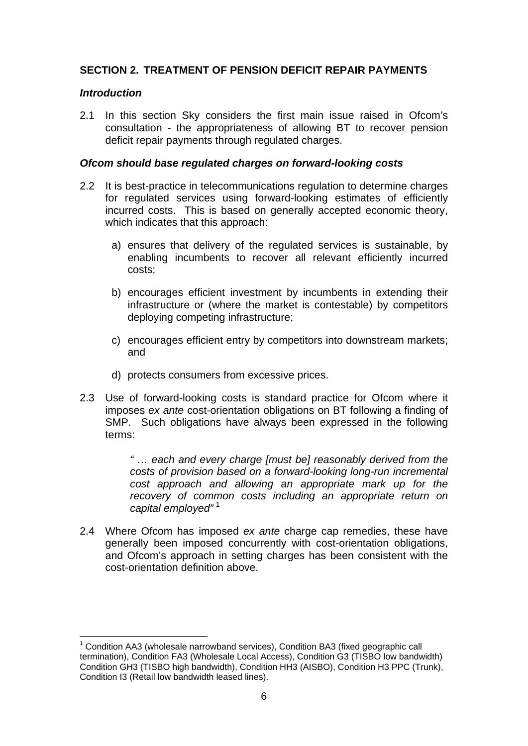### **SECTION 2. TREATMENT OF PENSION DEFICIT REPAIR PAYMENTS**

#### *Introduction*

2.1 In this section Sky considers the first main issue raised in Ofcom's consultation - the appropriateness of allowing BT to recover pension deficit repair payments through regulated charges.

#### *Ofcom should base regulated charges on forward-looking costs*

- 2.2 It is best-practice in telecommunications regulation to determine charges for regulated services using forward-looking estimates of efficiently incurred costs. This is based on generally accepted economic theory, which indicates that this approach:
	- a) ensures that delivery of the regulated services is sustainable, by enabling incumbents to recover all relevant efficiently incurred costs;
	- b) encourages efficient investment by incumbents in extending their infrastructure or (where the market is contestable) by competitors deploying competing infrastructure;
	- c) encourages efficient entry by competitors into downstream markets; and
	- d) protects consumers from excessive prices.
- 2.3 Use of forward-looking costs is standard practice for Ofcom where it imposes *ex ante* cost-orientation obligations on BT following a finding of SMP. Such obligations have always been expressed in the following terms:

*" … each and every charge [must be] reasonably derived from the costs of provision based on a forward-looking long-run incremental cost approach and allowing an appropriate mark up for the recovery of common costs including an appropriate return on*  capital employed"<sup>[1](#page-5-0)</sup>

2.4 Where Ofcom has imposed *ex ante* charge cap remedies, these have generally been imposed concurrently with cost-orientation obligations, and Ofcom's approach in setting charges has been consistent with the cost-orientation definition above.

<span id="page-5-0"></span> $1$  Condition AA3 (wholesale narrowband services), Condition BA3 (fixed geographic call termination), Condition FA3 (Wholesale Local Access), Condition G3 (TISBO low bandwidth) Condition GH3 (TISBO high bandwidth), Condition HH3 (AISBO), Condition H3 PPC (Trunk), Condition I3 (Retail low bandwidth leased lines).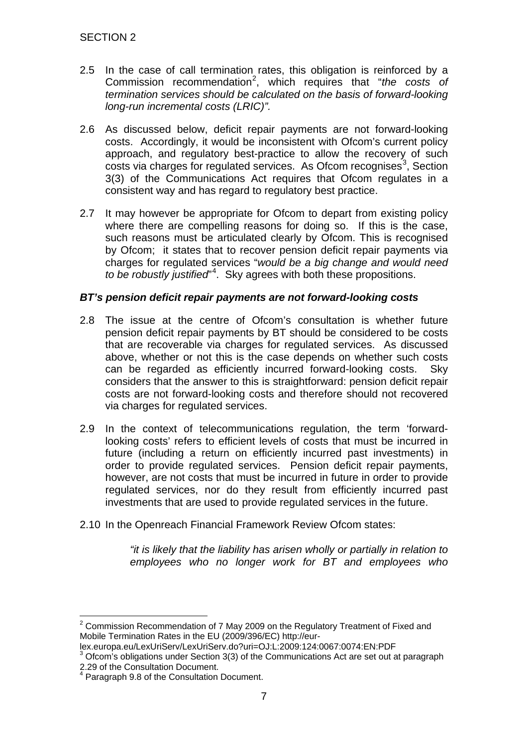- 2.5 In the case of call termination rates, this obligation is reinforced by a Commission recommendation<sup>[2](#page-6-0)</sup>, which requires that "the costs of *termination services should be calculated on the basis of forward-looking long-run incremental costs (LRIC)".*
- 2.6 As discussed below, deficit repair payments are not forward-looking costs. Accordingly, it would be inconsistent with Ofcom's current policy approach, and regulatory best-practice to allow the recovery of such costs via charges for regulated services. As Ofcom recognises<sup>[3](#page-6-1)</sup>, Section 3(3) of the Communications Act requires that Ofcom regulates in a consistent way and has regard to regulatory best practice.
- 2.7 It may however be appropriate for Ofcom to depart from existing policy where there are compelling reasons for doing so. If this is the case, such reasons must be articulated clearly by Ofcom. This is recognised by Ofcom; it states that to recover pension deficit repair payments via charges for regulated services "*would be a big change and would need to be robustly justified*" [4](#page-6-2) . Sky agrees with both these propositions.

### *BT's pension deficit repair payments are not forward-looking costs*

- 2.8 The issue at the centre of Ofcom's consultation is whether future pension deficit repair payments by BT should be considered to be costs that are recoverable via charges for regulated services. As discussed above, whether or not this is the case depends on whether such costs can be regarded as efficiently incurred forward-looking costs. Sky considers that the answer to this is straightforward: pension deficit repair costs are not forward-looking costs and therefore should not recovered via charges for regulated services.
- 2.9 In the context of telecommunications regulation, the term 'forwardlooking costs' refers to efficient levels of costs that must be incurred in future (including a return on efficiently incurred past investments) in order to provide regulated services. Pension deficit repair payments, however, are not costs that must be incurred in future in order to provide regulated services, nor do they result from efficiently incurred past investments that are used to provide regulated services in the future.
- 2.10 In the Openreach Financial Framework Review Ofcom states:

*"it is likely that the liability has arisen wholly or partially in relation to employees who no longer work for BT and employees who* 

<span id="page-6-0"></span> $2$  Commission Recommendation of 7 May 2009 on the Regulatory Treatment of Fixed and Mobile Termination Rates in the EU (2009/396/EC) http://eur-

lex.europa.eu/LexUriServ/LexUriServ.do?uri=OJ:L:2009:124:0067:0074:EN:PDF

<span id="page-6-1"></span> $3$  Ofcom's obligations under Section 3(3) of the Communications Act are set out at paragraph 2.29 of the Consultation Document.

<span id="page-6-2"></span><sup>4</sup> Paragraph 9.8 of the Consultation Document.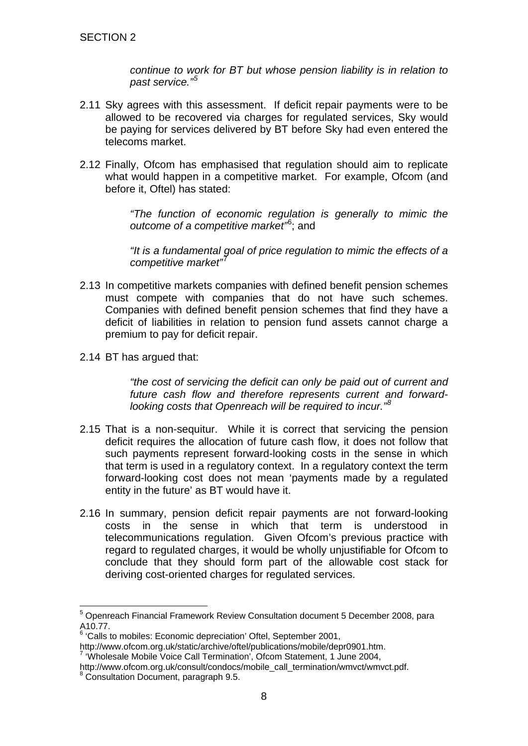*continue to work for BT but whose pension liability is in relation to past service." [5](#page-7-0)*

- 2.11 Sky agrees with this assessment. If deficit repair payments were to be allowed to be recovered via charges for regulated services, Sky would be paying for services delivered by BT before Sky had even entered the telecoms market.
- 2.12 Finally, Ofcom has emphasised that regulation should aim to replicate what would happen in a competitive market. For example, Ofcom (and before it, Oftel) has stated:

*"The function of economic regulation is generally to mimic the outcome of a competitive market"*[6](#page-7-1) ; and

*"It is a fundamental goal of price regulation to mimic the effects of a competitive market"* [7](#page-7-2)

- 2.13 In competitive markets companies with defined benefit pension schemes must compete with companies that do not have such schemes. Companies with defined benefit pension schemes that find they have a deficit of liabilities in relation to pension fund assets cannot charge a premium to pay for deficit repair.
- 2.14 BT has argued that:

*"the cost of servicing the deficit can only be paid out of current and future cash flow and therefore represents current and forward*looking costs that Openreach will be required to incur."<sup>5</sup>

- 2.15 That is a non-sequitur. While it is correct that servicing the pension deficit requires the allocation of future cash flow, it does not follow that such payments represent forward-looking costs in the sense in which that term is used in a regulatory context. In a regulatory context the term forward-looking cost does not mean 'payments made by a regulated entity in the future' as BT would have it.
- 2.16 In summary, pension deficit repair payments are not forward-looking costs in the sense in which that term is understood in telecommunications regulation. Given Ofcom's previous practice with regard to regulated charges, it would be wholly unjustifiable for Ofcom to conclude that they should form part of the allowable cost stack for deriving cost-oriented charges for regulated services.

<span id="page-7-0"></span> <sup>5</sup> Openreach Financial Framework Review Consultation document 5 December 2008, para A10.77.

<span id="page-7-1"></span> $6$  'Calls to mobiles: Economic depreciation' Oftel, September 2001,<br>http://www.ofcom.org.uk/static/archive/oftel/publications/mobile/depr0901.htm.

 $7$  'Wholesale Mobile Voice Call Termination', Ofcom Statement, 1 June 2004,

<span id="page-7-3"></span><span id="page-7-2"></span>http://www.ofcom.org.uk/consult/condocs/mobile\_call\_termination/wmvct/wmvct.pdf. <sup>8</sup> Consultation Document, paragraph 9.5.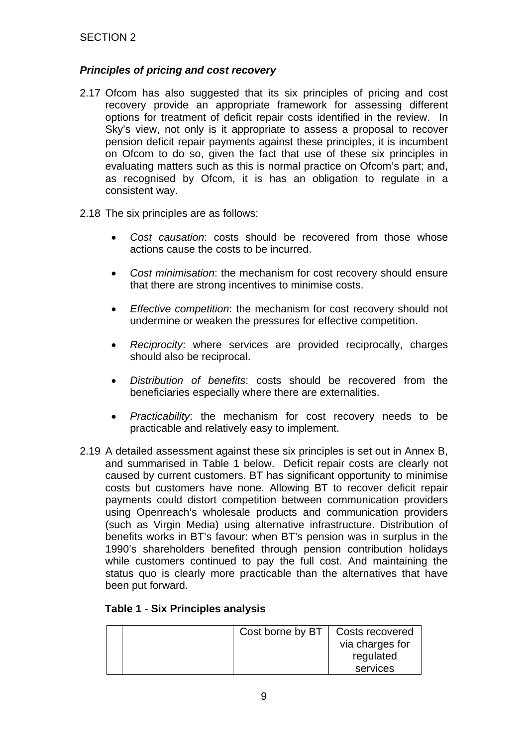### *Principles of pricing and cost recovery*

- 2.17 Ofcom has also suggested that its six principles of pricing and cost recovery provide an appropriate framework for assessing different options for treatment of deficit repair costs identified in the review. In Sky's view, not only is it appropriate to assess a proposal to recover pension deficit repair payments against these principles, it is incumbent on Ofcom to do so, given the fact that use of these six principles in evaluating matters such as this is normal practice on Ofcom's part; and, as recognised by Ofcom, it is has an obligation to regulate in a consistent way.
- 2.18 The six principles are as follows:
	- *Cost causation*: costs should be recovered from those whose actions cause the costs to be incurred.
	- *Cost minimisation*: the mechanism for cost recovery should ensure that there are strong incentives to minimise costs.
	- *Effective competition*: the mechanism for cost recovery should not undermine or weaken the pressures for effective competition.
	- *Reciprocity*: where services are provided reciprocally, charges should also be reciprocal.
	- *Distribution of benefits*: costs should be recovered from the beneficiaries especially where there are externalities.
	- *Practicability*: the mechanism for cost recovery needs to be practicable and relatively easy to implement.
- 2.19 A detailed assessment against these six principles is set out in Annex B, and summarised in Table 1 below. Deficit repair costs are clearly not caused by current customers. BT has significant opportunity to minimise costs but customers have none. Allowing BT to recover deficit repair payments could distort competition between communication providers using Openreach's wholesale products and communication providers (such as Virgin Media) using alternative infrastructure. Distribution of benefits works in BT's favour: when BT's pension was in surplus in the 1990's shareholders benefited through pension contribution holidays while customers continued to pay the full cost. And maintaining the status quo is clearly more practicable than the alternatives that have been put forward.

| Cost borne by BT   Costs recovered |                 |
|------------------------------------|-----------------|
|                                    | via charges for |
|                                    | regulated       |
|                                    | services        |

### **Table 1 - Six Principles analysis**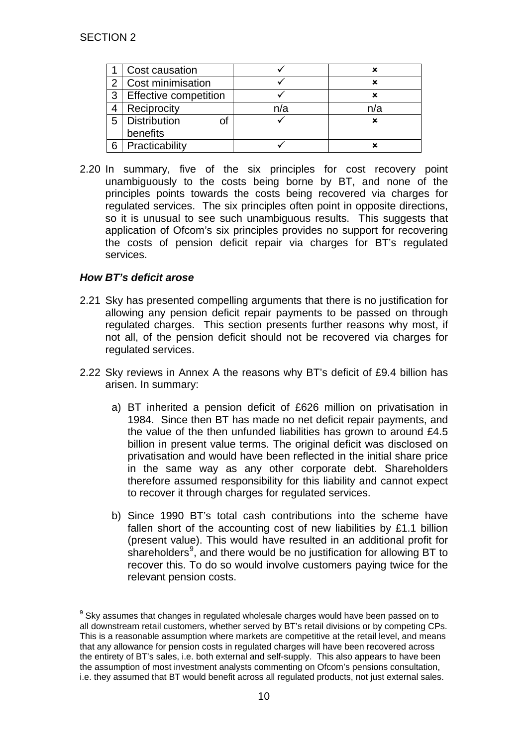|   | Cost causation               |     |     |
|---|------------------------------|-----|-----|
| っ | Cost minimisation            |     |     |
| 3 | <b>Effective competition</b> |     |     |
|   | Reciprocity                  | n/a | n/a |
| 5 | Distribution                 |     |     |
|   | benefits                     |     |     |
|   | Practicability               |     |     |

2.20 In summary, five of the six principles for cost recovery point unambiguously to the costs being borne by BT, and none of the principles points towards the costs being recovered via charges for regulated services. The six principles often point in opposite directions, so it is unusual to see such unambiguous results. This suggests that application of Ofcom's six principles provides no support for recovering the costs of pension deficit repair via charges for BT's regulated services.

## *How BT's deficit arose*

- 2.21 Sky has presented compelling arguments that there is no justification for allowing any pension deficit repair payments to be passed on through regulated charges. This section presents further reasons why most, if not all, of the pension deficit should not be recovered via charges for regulated services.
- 2.22 Sky reviews in Annex A the reasons why BT's deficit of £9.4 billion has arisen. In summary:
	- a) BT inherited a pension deficit of £626 million on privatisation in 1984. Since then BT has made no net deficit repair payments, and the value of the then unfunded liabilities has grown to around £4.5 billion in present value terms. The original deficit was disclosed on privatisation and would have been reflected in the initial share price in the same way as any other corporate debt. Shareholders therefore assumed responsibility for this liability and cannot expect to recover it through charges for regulated services.
	- b) Since 1990 BT's total cash contributions into the scheme have fallen short of the accounting cost of new liabilities by £1.1 billion (present value). This would have resulted in an additional profit for shareholders<sup>[9](#page-9-0)</sup>, and there would be no justification for allowing BT to recover this. To do so would involve customers paying twice for the relevant pension costs.

<span id="page-9-0"></span> $9$  Sky assumes that changes in regulated wholesale charges would have been passed on to all downstream retail customers, whether served by BT's retail divisions or by competing CPs. This is a reasonable assumption where markets are competitive at the retail level, and means that any allowance for pension costs in regulated charges will have been recovered across the entirety of BT's sales, i.e. both external and self-supply. This also appears to have been the assumption of most investment analysts commenting on Ofcom's pensions consultation, i.e. they assumed that BT would benefit across all regulated products, not just external sales.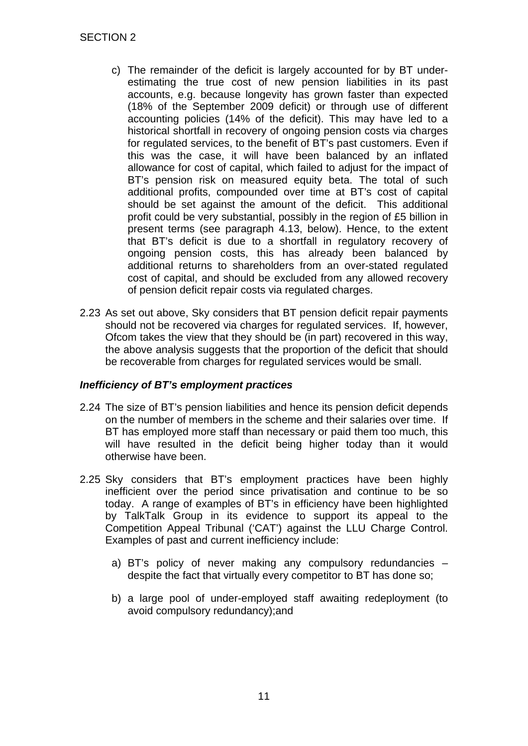- c) The remainder of the deficit is largely accounted for by BT underestimating the true cost of new pension liabilities in its past accounts, e.g. because longevity has grown faster than expected (18% of the September 2009 deficit) or through use of different accounting policies (14% of the deficit). This may have led to a historical shortfall in recovery of ongoing pension costs via charges for regulated services, to the benefit of BT's past customers. Even if this was the case, it will have been balanced by an inflated allowance for cost of capital, which failed to adjust for the impact of BT's pension risk on measured equity beta. The total of such additional profits, compounded over time at BT's cost of capital should be set against the amount of the deficit. This additional profit could be very substantial, possibly in the region of £5 billion in present terms (see paragraph [4.13,](#page-21-0) below). Hence, to the extent that BT's deficit is due to a shortfall in regulatory recovery of ongoing pension costs, this has already been balanced by additional returns to shareholders from an over-stated regulated cost of capital, and should be excluded from any allowed recovery of pension deficit repair costs via regulated charges.
- 2.23 As set out above, Sky considers that BT pension deficit repair payments should not be recovered via charges for regulated services. If, however, Ofcom takes the view that they should be (in part) recovered in this way, the above analysis suggests that the proportion of the deficit that should be recoverable from charges for regulated services would be small.

### *Inefficiency of BT's employment practices*

- 2.24 The size of BT's pension liabilities and hence its pension deficit depends on the number of members in the scheme and their salaries over time. If BT has employed more staff than necessary or paid them too much, this will have resulted in the deficit being higher today than it would otherwise have been.
- 2.25 Sky considers that BT's employment practices have been highly inefficient over the period since privatisation and continue to be so today. A range of examples of BT's in efficiency have been highlighted by TalkTalk Group in its evidence to support its appeal to the Competition Appeal Tribunal ('CAT') against the LLU Charge Control. Examples of past and current inefficiency include:
	- a) BT's policy of never making any compulsory redundancies despite the fact that virtually every competitor to BT has done so;
	- b) a large pool of under-employed staff awaiting redeployment (to avoid compulsory redundancy);and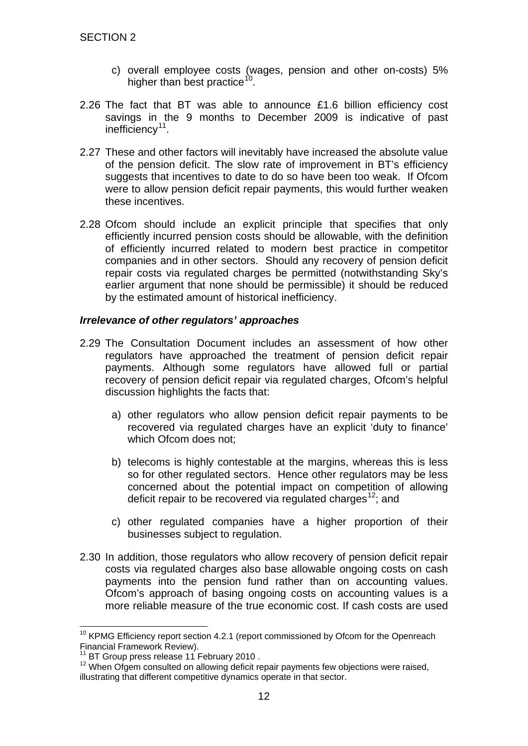- c) overall employee costs (wages, pension and other on-costs) 5% higher than best practice<sup>[10](#page-11-0)</sup>.
- 2.26 The fact that BT was able to announce £1.6 billion efficiency cost savings in the 9 months to December 2009 is indicative of past inefficiency<sup>[11](#page-11-1)</sup>.
- 2.27 These and other factors will inevitably have increased the absolute value of the pension deficit. The slow rate of improvement in BT's efficiency suggests that incentives to date to do so have been too weak. If Ofcom were to allow pension deficit repair payments, this would further weaken these incentives.
- 2.28 Ofcom should include an explicit principle that specifies that only efficiently incurred pension costs should be allowable, with the definition of efficiently incurred related to modern best practice in competitor companies and in other sectors. Should any recovery of pension deficit repair costs via regulated charges be permitted (notwithstanding Sky's earlier argument that none should be permissible) it should be reduced by the estimated amount of historical inefficiency.

### *Irrelevance of other regulators' approaches*

- 2.29 The Consultation Document includes an assessment of how other regulators have approached the treatment of pension deficit repair payments. Although some regulators have allowed full or partial recovery of pension deficit repair via regulated charges, Ofcom's helpful discussion highlights the facts that:
	- a) other regulators who allow pension deficit repair payments to be recovered via regulated charges have an explicit 'duty to finance' which Ofcom does not;
	- b) telecoms is highly contestable at the margins, whereas this is less so for other regulated sectors. Hence other regulators may be less concerned about the potential impact on competition of allowing deficit repair to be recovered via regulated charges<sup>[12](#page-11-2)</sup>; and
	- c) other regulated companies have a higher proportion of their businesses subject to regulation.
- 2.30 In addition, those regulators who allow recovery of pension deficit repair costs via regulated charges also base allowable ongoing costs on cash payments into the pension fund rather than on accounting values. Ofcom's approach of basing ongoing costs on accounting values is a more reliable measure of the true economic cost. If cash costs are used

<span id="page-11-0"></span><sup>&</sup>lt;sup>10</sup> KPMG Efficiency report section 4.2.1 (report commissioned by Ofcom for the Openreach Financial Framework Review).<br><sup>11</sup> BT Group press release 11 February 2010.

<span id="page-11-2"></span><span id="page-11-1"></span><sup>&</sup>lt;sup>12</sup> When Ofgem consulted on allowing deficit repair payments few objections were raised, illustrating that different competitive dynamics operate in that sector.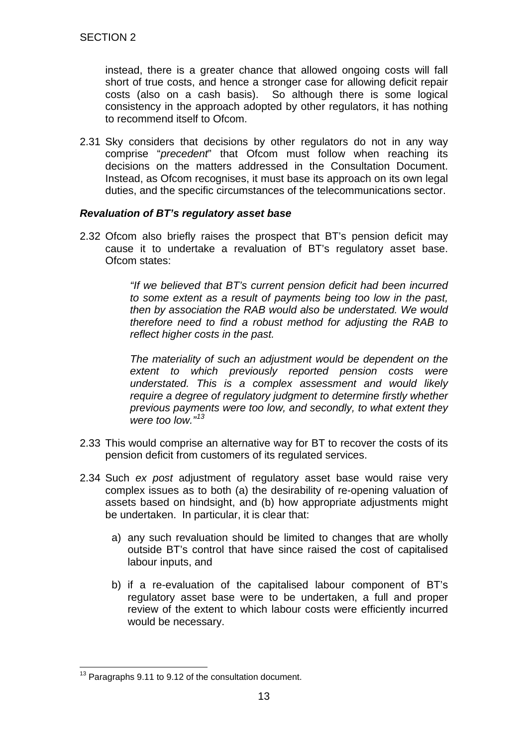instead, there is a greater chance that allowed ongoing costs will fall short of true costs, and hence a stronger case for allowing deficit repair costs (also on a cash basis). So although there is some logical consistency in the approach adopted by other regulators, it has nothing to recommend itself to Ofcom.

2.31 Sky considers that decisions by other regulators do not in any way comprise "*precedent*" that Ofcom must follow when reaching its decisions on the matters addressed in the Consultation Document. Instead, as Ofcom recognises, it must base its approach on its own legal duties, and the specific circumstances of the telecommunications sector.

### *Revaluation of BT's regulatory asset base*

2.32 Ofcom also briefly raises the prospect that BT's pension deficit may cause it to undertake a revaluation of BT's regulatory asset base. Ofcom states:

> *"If we believed that BT's current pension deficit had been incurred to some extent as a result of payments being too low in the past, then by association the RAB would also be understated. We would therefore need to find a robust method for adjusting the RAB to reflect higher costs in the past.*

> *The materiality of such an adjustment would be dependent on the extent to which previously reported pension costs were understated. This is a complex assessment and would likely require a degree of regulatory judgment to determine firstly whether previous payments were too low, and secondly, to what extent they were too low." [13](#page-12-0)*

- 2.33 This would comprise an alternative way for BT to recover the costs of its pension deficit from customers of its regulated services.
- 2.34 Such *ex post* adjustment of regulatory asset base would raise very complex issues as to both (a) the desirability of re-opening valuation of assets based on hindsight, and (b) how appropriate adjustments might be undertaken. In particular, it is clear that:
	- a) any such revaluation should be limited to changes that are wholly outside BT's control that have since raised the cost of capitalised labour inputs, and
	- b) if a re-evaluation of the capitalised labour component of BT's regulatory asset base were to be undertaken, a full and proper review of the extent to which labour costs were efficiently incurred would be necessary.

<span id="page-12-0"></span><sup>&</sup>lt;sup>13</sup> Paragraphs 9.11 to 9.12 of the consultation document.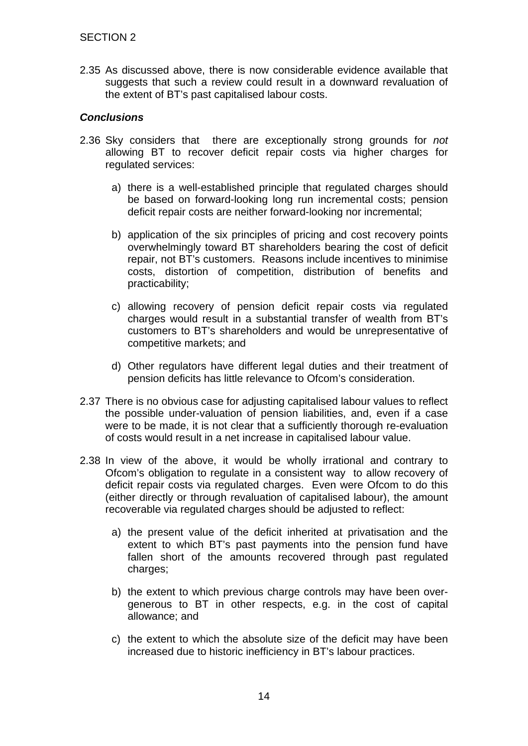2.35 As discussed above, there is now considerable evidence available that suggests that such a review could result in a downward revaluation of the extent of BT's past capitalised labour costs.

### *Conclusions*

- 2.36 Sky considers that there are exceptionally strong grounds for *not* allowing BT to recover deficit repair costs via higher charges for regulated services:
	- a) there is a well-established principle that regulated charges should be based on forward-looking long run incremental costs; pension deficit repair costs are neither forward-looking nor incremental;
	- b) application of the six principles of pricing and cost recovery points overwhelmingly toward BT shareholders bearing the cost of deficit repair, not BT's customers. Reasons include incentives to minimise costs, distortion of competition, distribution of benefits and practicability;
	- c) allowing recovery of pension deficit repair costs via regulated charges would result in a substantial transfer of wealth from BT's customers to BT's shareholders and would be unrepresentative of competitive markets; and
	- d) Other regulators have different legal duties and their treatment of pension deficits has little relevance to Ofcom's consideration.
- 2.37 There is no obvious case for adjusting capitalised labour values to reflect the possible under-valuation of pension liabilities, and, even if a case were to be made, it is not clear that a sufficiently thorough re-evaluation of costs would result in a net increase in capitalised labour value.
- 2.38 In view of the above, it would be wholly irrational and contrary to Ofcom's obligation to regulate in a consistent way to allow recovery of deficit repair costs via regulated charges. Even were Ofcom to do this (either directly or through revaluation of capitalised labour), the amount recoverable via regulated charges should be adjusted to reflect:
	- a) the present value of the deficit inherited at privatisation and the extent to which BT's past payments into the pension fund have fallen short of the amounts recovered through past regulated charges:
	- b) the extent to which previous charge controls may have been overgenerous to BT in other respects, e.g. in the cost of capital allowance; and
	- c) the extent to which the absolute size of the deficit may have been increased due to historic inefficiency in BT's labour practices.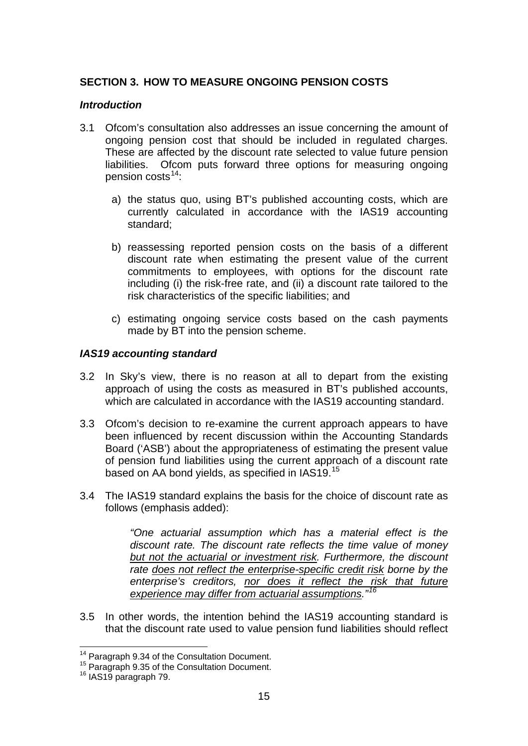### **SECTION 3. HOW TO MEASURE ONGOING PENSION COSTS**

#### *Introduction*

- 3.1 Ofcom's consultation also addresses an issue concerning the amount of ongoing pension cost that should be included in regulated charges. These are affected by the discount rate selected to value future pension liabilities. Ofcom puts forward three options for measuring ongoing pension costs<sup>[14](#page-14-0)</sup>:
	- a) the status quo, using BT's published accounting costs, which are currently calculated in accordance with the IAS19 accounting standard;
	- b) reassessing reported pension costs on the basis of a different discount rate when estimating the present value of the current commitments to employees, with options for the discount rate including (i) the risk-free rate, and (ii) a discount rate tailored to the risk characteristics of the specific liabilities; and
	- c) estimating ongoing service costs based on the cash payments made by BT into the pension scheme.

### *IAS19 accounting standard*

- 3.2 In Sky's view, there is no reason at all to depart from the existing approach of using the costs as measured in BT's published accounts, which are calculated in accordance with the IAS19 accounting standard.
- 3.3 Ofcom's decision to re-examine the current approach appears to have been influenced by recent discussion within the Accounting Standards Board ('ASB') about the appropriateness of estimating the present value of pension fund liabilities using the current approach of a discount rate based on AA bond vields, as specified in IAS19.<sup>[15](#page-14-1)</sup>
- 3.4 The IAS19 standard explains the basis for the choice of discount rate as follows (emphasis added):

*"One actuarial assumption which has a material effect is the discount rate. The discount rate reflects the time value of money but not the actuarial or investment risk. Furthermore, the discount rate does not reflect the enterprise-specific credit risk borne by the enterprise's creditors, nor does it reflect the risk that future experience may differ from actuarial assumptions."[16](#page-14-2)*

3.5 In other words, the intention behind the IAS19 accounting standard is that the discount rate used to value pension fund liabilities should reflect

<span id="page-14-0"></span> <sup>14</sup> Paragraph 9.34 of the Consultation Document.

<sup>&</sup>lt;sup>15</sup> Paragraph 9.35 of the Consultation Document.

<span id="page-14-2"></span><span id="page-14-1"></span><sup>16</sup> IAS19 paragraph 79.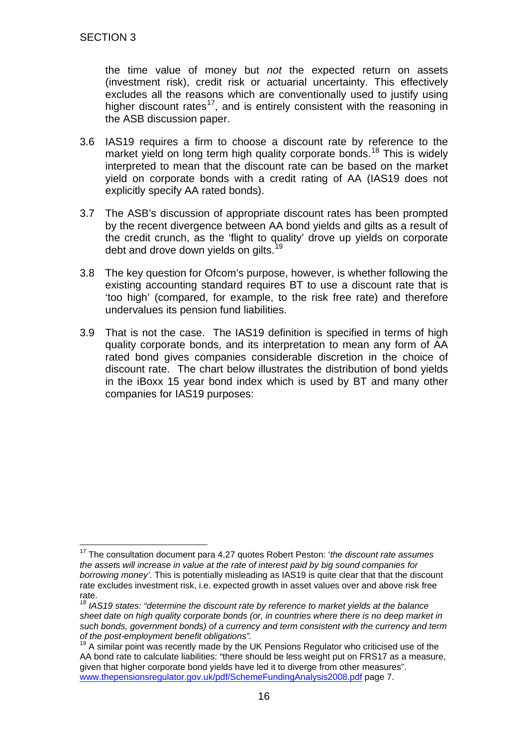the time value of money but *not* the expected return on assets (investment risk), credit risk or actuarial uncertainty. This effectively excludes all the reasons which are conventionally used to justify using higher discount rates<sup>[17](#page-15-0)</sup>, and is entirely consistent with the reasoning in the ASB discussion paper.

- 3.6 IAS19 requires a firm to choose a discount rate by reference to the market yield on long term high quality corporate bonds.<sup>[18](#page-15-1)</sup> This is widely interpreted to mean that the discount rate can be based on the market yield on corporate bonds with a credit rating of AA (IAS19 does not explicitly specify AA rated bonds).
- 3.7 The ASB's discussion of appropriate discount rates has been prompted by the recent divergence between AA bond yields and gilts as a result of the credit crunch, as the 'flight to quality' drove up yields on corporate debt and drove down yields on gilts.<sup>[19](#page-15-2)</sup>
- 3.8 The key question for Ofcom's purpose, however, is whether following the existing accounting standard requires BT to use a discount rate that is 'too high' (compared, for example, to the risk free rate) and therefore undervalues its pension fund liabilities.
- 3.9 That is not the case. The IAS19 definition is specified in terms of high quality corporate bonds, and its interpretation to mean any form of AA rated bond gives companies considerable discretion in the choice of discount rate. The chart below illustrates the distribution of bond yields in the iBoxx 15 year bond index which is used by BT and many other companies for IAS19 purposes:

<span id="page-15-0"></span> <sup>17</sup> The consultation document para 4.27 quotes Robert Peston: '*the discount rate assumes the assets will increase in value at the rate of interest paid by big sound companies for borrowing money'*. This is potentially misleading as IAS19 is quite clear that that the discount rate excludes investment risk, i.e. expected growth in asset values over and above risk free rate.

<span id="page-15-1"></span>*<sup>18</sup> IAS19 states: "determine the discount rate by reference to market yields at the balance sheet date on high quality corporate bonds (or, in countries where there is no deep market in such bonds, government bonds) of a currency and term consistent with the currency and term of the post-employment benefit obligations".*

<span id="page-15-2"></span>A similar point was recently made by the UK Pensions Regulator who criticised use of the AA bond rate to calculate liabilities: "there should be less weight put on FRS17 as a measure, given that higher corporate bond yields have led it to diverge from other measures". [www.thepensionsregulator.gov.uk/pdf/SchemeFundingAnalysis2008.pdf](http://www.thepensionsregulator.gov.uk/pdf/SchemeFundingAnalysis2008.pdf) page 7.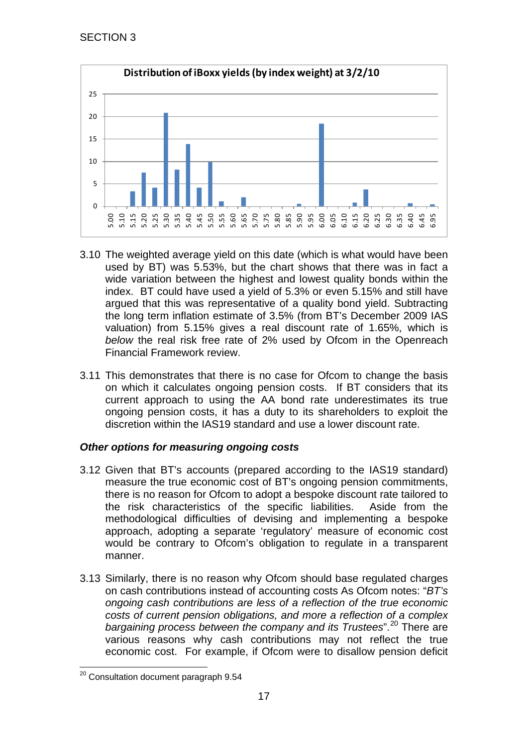

- 3.10 The weighted average yield on this date (which is what would have been used by BT) was 5.53%, but the chart shows that there was in fact a wide variation between the highest and lowest quality bonds within the index. BT could have used a yield of 5.3% or even 5.15% and still have argued that this was representative of a quality bond yield. Subtracting the long term inflation estimate of 3.5% (from BT's December 2009 IAS valuation) from 5.15% gives a real discount rate of 1.65%, which is *below* the real risk free rate of 2% used by Ofcom in the Openreach Financial Framework review.
- 3.11 This demonstrates that there is no case for Ofcom to change the basis on which it calculates ongoing pension costs. If BT considers that its current approach to using the AA bond rate underestimates its true ongoing pension costs, it has a duty to its shareholders to exploit the discretion within the IAS19 standard and use a lower discount rate.

## *Other options for measuring ongoing costs*

- 3.12 Given that BT's accounts (prepared according to the IAS19 standard) measure the true economic cost of BT's ongoing pension commitments, there is no reason for Ofcom to adopt a bespoke discount rate tailored to the risk characteristics of the specific liabilities. Aside from the methodological difficulties of devising and implementing a bespoke approach, adopting a separate 'regulatory' measure of economic cost would be contrary to Ofcom's obligation to regulate in a transparent manner.
- 3.13 Similarly, there is no reason why Ofcom should base regulated charges on cash contributions instead of accounting costs As Ofcom notes: "*BT's ongoing cash contributions are less of a reflection of the true economic costs of current pension obligations, and more a reflection of a complex*  bargaining process between the company and its Trustees".<sup>[20](#page-16-0)</sup> There are various reasons why cash contributions may not reflect the true economic cost. For example, if Ofcom were to disallow pension deficit

<span id="page-16-0"></span><sup>&</sup>lt;sup>20</sup> Consultation document paragraph 9.54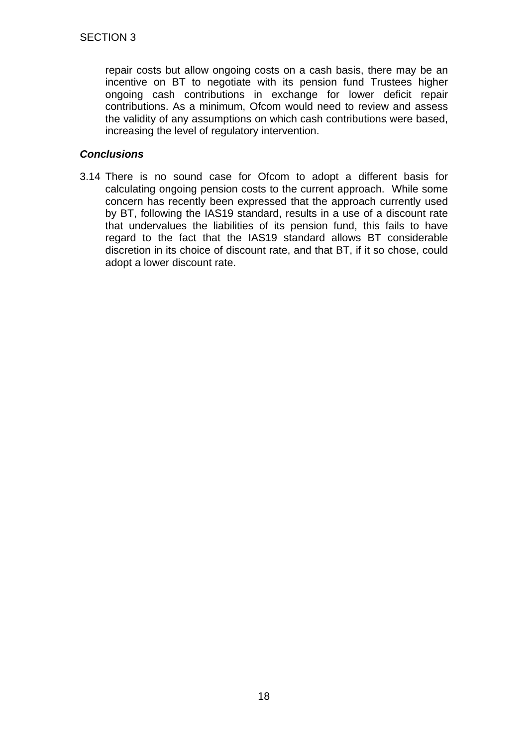repair costs but allow ongoing costs on a cash basis, there may be an incentive on BT to negotiate with its pension fund Trustees higher ongoing cash contributions in exchange for lower deficit repair contributions. As a minimum, Ofcom would need to review and assess the validity of any assumptions on which cash contributions were based, increasing the level of regulatory intervention.

### *Conclusions*

3.14 There is no sound case for Ofcom to adopt a different basis for calculating ongoing pension costs to the current approach. While some concern has recently been expressed that the approach currently used by BT, following the IAS19 standard, results in a use of a discount rate that undervalues the liabilities of its pension fund, this fails to have regard to the fact that the IAS19 standard allows BT considerable discretion in its choice of discount rate, and that BT, if it so chose, could adopt a lower discount rate.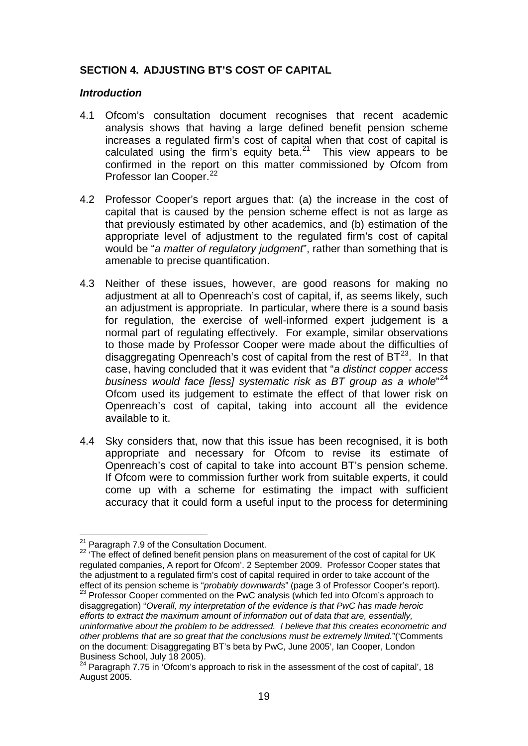### **SECTION 4. ADJUSTING BT'S COST OF CAPITAL**

#### *Introduction*

- 4.1 Ofcom's consultation document recognises that recent academic analysis shows that having a large defined benefit pension scheme increases a regulated firm's cost of capital when that cost of capital is calculated using the firm's equity beta. $21$  This view appears to be confirmed in the report on this matter commissioned by Ofcom from Professor Ian Cooper.<sup>[22](#page-18-1)</sup>
- 4.2 Professor Cooper's report argues that: (a) the increase in the cost of capital that is caused by the pension scheme effect is not as large as that previously estimated by other academics, and (b) estimation of the appropriate level of adjustment to the regulated firm's cost of capital would be "*a matter of regulatory judgment*", rather than something that is amenable to precise quantification.
- 4.3 Neither of these issues, however, are good reasons for making no adjustment at all to Openreach's cost of capital, if, as seems likely, such an adjustment is appropriate. In particular, where there is a sound basis for regulation, the exercise of well-informed expert judgement is a normal part of regulating effectively. For example, similar observations to those made by Professor Cooper were made about the difficulties of disaggregating Openreach's cost of capital from the rest of  $BT^{23}$ . In that case, having concluded that it was evident that "*a distinct copper access business would face [less] systematic risk as BT group as a whole*" [24](#page-18-3) Ofcom used its judgement to estimate the effect of that lower risk on Openreach's cost of capital, taking into account all the evidence available to it.
- 4.4 Sky considers that, now that this issue has been recognised, it is both appropriate and necessary for Ofcom to revise its estimate of Openreach's cost of capital to take into account BT's pension scheme. If Ofcom were to commission further work from suitable experts, it could come up with a scheme for estimating the impact with sufficient accuracy that it could form a useful input to the process for determining

<span id="page-18-0"></span><sup>&</sup>lt;sup>21</sup> Paragraph 7.9 of the Consultation Document.

<span id="page-18-1"></span><sup>&</sup>lt;sup>22</sup> 'The effect of defined benefit pension plans on measurement of the cost of capital for UK regulated companies, A report for Ofcom'. 2 September 2009. Professor Cooper states that the adjustment to a regulated firm's cost of capital required in order to take account of the effect of its pension scheme is "*probably downwards*" (page 3 of Professor Cooper's report).

<span id="page-18-2"></span><sup>&</sup>lt;sup>23</sup> Professor Cooper commented on the PwC analysis (which fed into Ofcom's approach to disaggregation) "*Overall, my interpretation of the evidence is that PwC has made heroic efforts to extract the maximum amount of information out of data that are, essentially, uninformative about the problem to be addressed. I believe that this creates econometric and other problems that are so great that the conclusions must be extremely limited.*"('Comments on the document: Disaggregating BT's beta by PwC, June 2005', Ian Cooper, London

<span id="page-18-3"></span><sup>&</sup>lt;sup>24</sup> Paragraph 7.75 in 'Ofcom's approach to risk in the assessment of the cost of capital', 18 August 2005.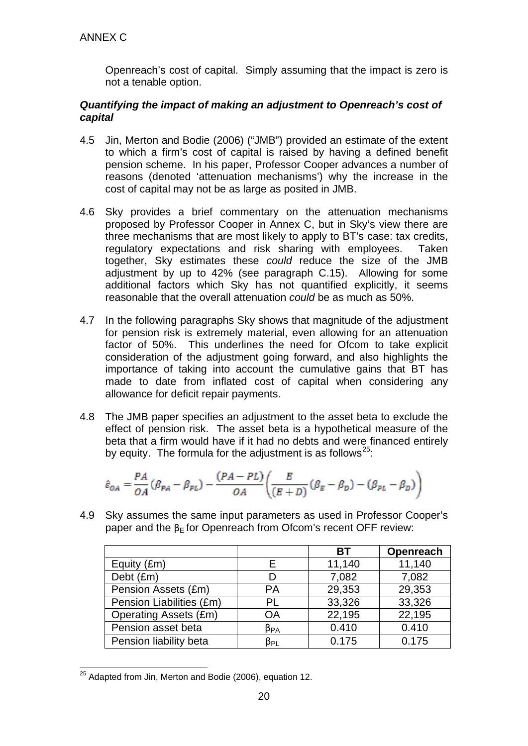Openreach's cost of capital. Simply assuming that the impact is zero is not a tenable option.

### *Quantifying the impact of making an adjustment to Openreach's cost of capital*

- 4.5 Jin, Merton and Bodie (2006) ("JMB") provided an estimate of the extent to which a firm's cost of capital is raised by having a defined benefit pension scheme. In his paper, Professor Cooper advances a number of reasons (denoted 'attenuation mechanisms') why the increase in the cost of capital may not be as large as posited in JMB.
- 4.6 Sky provides a brief commentary on the attenuation mechanisms proposed by Professor Cooper in Annex C, but in Sky's view there are three mechanisms that are most likely to apply to BT's case: tax credits, regulatory expectations and risk sharing with employees. Taken together, Sky estimates these *could* reduce the size of the JMB adjustment by up to 42% (see paragraph [C.15\)](#page-35-0). Allowing for some additional factors which Sky has not quantified explicitly, it seems reasonable that the overall attenuation *could* be as much as 50%.
- 4.7 In the following paragraphs Sky shows that magnitude of the adjustment for pension risk is extremely material, even allowing for an attenuation factor of 50%. This underlines the need for Ofcom to take explicit consideration of the adjustment going forward, and also highlights the importance of taking into account the cumulative gains that BT has made to date from inflated cost of capital when considering any allowance for deficit repair payments.
- 4.8 The JMB paper specifies an adjustment to the asset beta to exclude the effect of pension risk. The asset beta is a hypothetical measure of the beta that a firm would have if it had no debts and were financed entirely by equity. The formula for the adjustment is as follows<sup>25</sup>:

$$
\hat{\varepsilon}_{OA} = \frac{PA}{OA} (\beta_{PA} - \beta_{PL}) - \frac{(PA - PL)}{OA} \left( \frac{E}{(E + D)} (\beta_E - \beta_D) - (\beta_{PL} - \beta_D) \right)
$$

4.9 Sky assumes the same input parameters as used in Professor Cooper's paper and the  $\beta$ <sub>E</sub> for Openreach from Ofcom's recent OFF review:

|                              |                       | ВT     | Openreach |
|------------------------------|-----------------------|--------|-----------|
| Equity (£m)                  | F                     | 11,140 | 11,140    |
| Debt (£m)                    | D                     | 7,082  | 7,082     |
| Pension Assets (£m)          | <b>PA</b>             | 29,353 | 29,353    |
| Pension Liabilities (£m)     | PL                    | 33,326 | 33,326    |
| <b>Operating Assets (£m)</b> | <b>OA</b>             | 22,195 | 22,195    |
| Pension asset beta           | $\beta_{\mathsf{PA}}$ | 0.410  | 0.410     |
| Pension liability beta       | $\beta_{PL}$          | 0.175  | 0.175     |

<span id="page-19-0"></span><sup>&</sup>lt;sup>25</sup> Adapted from Jin, Merton and Bodie (2006), equation 12.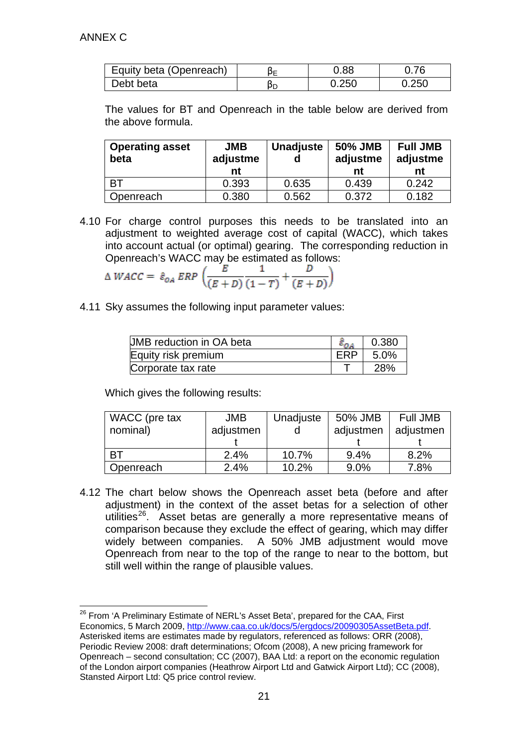| Equity beta (Openreach) | ⊐כ | 0.88  | 0.76 |
|-------------------------|----|-------|------|
| Debt beta               | ÞD | 0.250 | .250 |

The values for BT and Openreach in the table below are derived from the above formula.

| <b>Operating asset</b><br>beta | <b>JMB</b><br>adjustme<br>nt | <b>Unadjuste</b> | 50% JMB<br>adjustme<br>nt | <b>Full JMB</b><br>adjustme<br>nt |
|--------------------------------|------------------------------|------------------|---------------------------|-----------------------------------|
| <b>BT</b>                      | 0.393                        | 0.635            | 0.439                     | 0.242                             |
| Openreach                      | 0.380                        | 0.562            | 0.372                     | 0.182                             |

4.10 For charge control purposes this needs to be translated into an adjustment to weighted average cost of capital (WACC), which takes into account actual (or optimal) gearing. The corresponding reduction in Openreach's WACC may be estimated as follows:

$$
\Delta WACC = \hat{\varepsilon}_{OA} ERP \left( \frac{E}{(E+D)} \frac{1}{(1-T)} + \frac{D}{(E+D)} \right)
$$

4.11 Sky assumes the following input parameter values:

| UMB reduction in OA beta | 0.380      |
|--------------------------|------------|
| Equity risk premium      | 5.0%       |
| Corporate tax rate       | <b>28%</b> |

Which gives the following results:

| WACC (pre tax | <b>JMB</b> | Unadjuste | 50% JMB   | Full JMB  |
|---------------|------------|-----------|-----------|-----------|
| nominal)      | adjustmen  |           | adjustmen | adjustmen |
|               |            |           |           |           |
| <b>BT</b>     | 2.4%       | 10.7%     | 9.4%      | 8.2%      |
| Openreach     | 2.4%       | 10.2%     | 9.0%      | 7.8%      |

4.12 The chart below shows the Openreach asset beta (before and after adjustment) in the context of the asset betas for a selection of other utilities<sup>[26](#page-20-0)</sup>. Asset betas are generally a more representative means of comparison because they exclude the effect of gearing, which may differ widely between companies. A 50% JMB adjustment would move Openreach from near to the top of the range to near to the bottom, but still well within the range of plausible values.

<span id="page-20-0"></span><sup>26</sup> From 'A Preliminary Estimate of NERL's Asset Beta', prepared for the CAA, First Economics, 5 March 2009, http://www.caa.co.uk/docs/5/ergdocs/20090305AssetBeta.pdf Asterisked items are estimates made by regulators, referenced as follows: ORR (2008), Periodic Review 2008: draft determinations; Ofcom (2008), A new pricing framework for Openreach – second consultation; CC (2007), BAA Ltd: a report on the economic regulation of the London airport companies (Heathrow Airport Ltd and Gatwick Airport Ltd); CC (2008), Stansted Airport Ltd: Q5 price control review.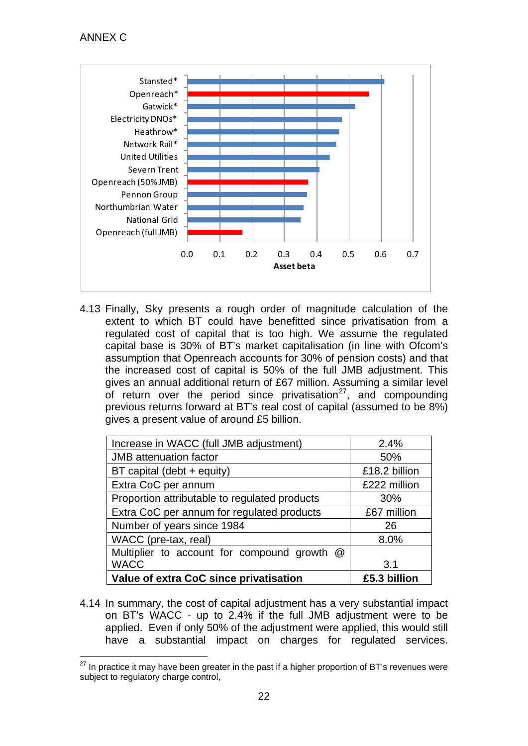

4.13 Finally, Sky presents a rough order of magnitude calculation of the extent to which BT could have benefitted since privatisation from a regulated cost of capital that is too high. We assume the regulated capital base is 30% of BT's market capitalisation (in line with Ofcom's assumption that Openreach accounts for 30% of pension costs) and that the increased cost of capital is 50% of the full JMB adjustment. This gives an annual additional return of £67 million. Assuming a similar level of return over the period since privatisation $27$ , and compounding previous returns forward at BT's real cost of capital (assumed to be 8%) gives a present value of around £5 billion.

<span id="page-21-0"></span>

| Increase in WACC (full JMB adjustment)        | 2.4%          |
|-----------------------------------------------|---------------|
| <b>JMB</b> attenuation factor                 | 50%           |
| BT capital (debt + equity)                    | £18.2 billion |
| Extra CoC per annum                           | £222 million  |
| Proportion attributable to regulated products | 30%           |
| Extra CoC per annum for regulated products    | £67 million   |
| Number of years since 1984                    | 26            |
| WACC (pre-tax, real)                          | 8.0%          |
| Multiplier to account for compound growth @   |               |
| <b>WACC</b>                                   | 3.1           |
| Value of extra CoC since privatisation        | £5.3 billion  |

4.14 In summary, the cost of capital adjustment has a very substantial impact on BT's WACC - up to 2.4% if the full JMB adjustment were to be applied. Even if only 50% of the adjustment were applied, this would still have a substantial impact on charges for regulated services.

<span id="page-21-1"></span> $27$  In practice it may have been greater in the past if a higher proportion of BT's revenues were subject to regulatory charge control,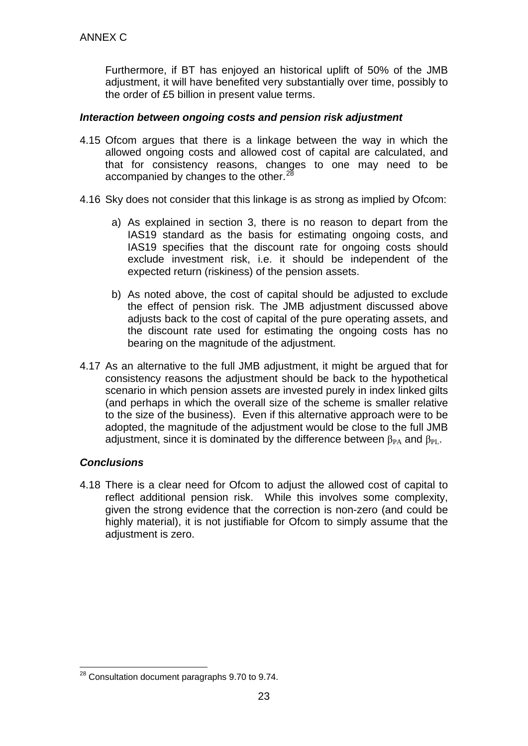Furthermore, if BT has enjoyed an historical uplift of 50% of the JMB adjustment, it will have benefited very substantially over time, possibly to the order of £5 billion in present value terms.

### *Interaction between ongoing costs and pension risk adjustment*

- 4.15 Ofcom argues that there is a linkage between the way in which the allowed ongoing costs and allowed cost of capital are calculated, and that for consistency reasons, changes to one may need to be accompanied by changes to the other.<sup>[28](#page-22-0)</sup>
- 4.16 Sky does not consider that this linkage is as strong as implied by Ofcom:
	- a) As explained in section 3, there is no reason to depart from the IAS19 standard as the basis for estimating ongoing costs, and IAS19 specifies that the discount rate for ongoing costs should exclude investment risk, i.e. it should be independent of the expected return (riskiness) of the pension assets.
	- b) As noted above, the cost of capital should be adjusted to exclude the effect of pension risk. The JMB adjustment discussed above adjusts back to the cost of capital of the pure operating assets, and the discount rate used for estimating the ongoing costs has no bearing on the magnitude of the adjustment.
- 4.17 As an alternative to the full JMB adjustment, it might be argued that for consistency reasons the adjustment should be back to the hypothetical scenario in which pension assets are invested purely in index linked gilts (and perhaps in which the overall size of the scheme is smaller relative to the size of the business). Even if this alternative approach were to be adopted, the magnitude of the adjustment would be close to the full JMB adjustment, since it is dominated by the difference between  $\beta_{PA}$  and  $\beta_{PL}$ .

## *Conclusions*

4.18 There is a clear need for Ofcom to adjust the allowed cost of capital to reflect additional pension risk. While this involves some complexity, given the strong evidence that the correction is non-zero (and could be highly material), it is not justifiable for Ofcom to simply assume that the adjustment is zero.

<span id="page-22-0"></span> <sup>28</sup> Consultation document paragraphs 9.70 to 9.74.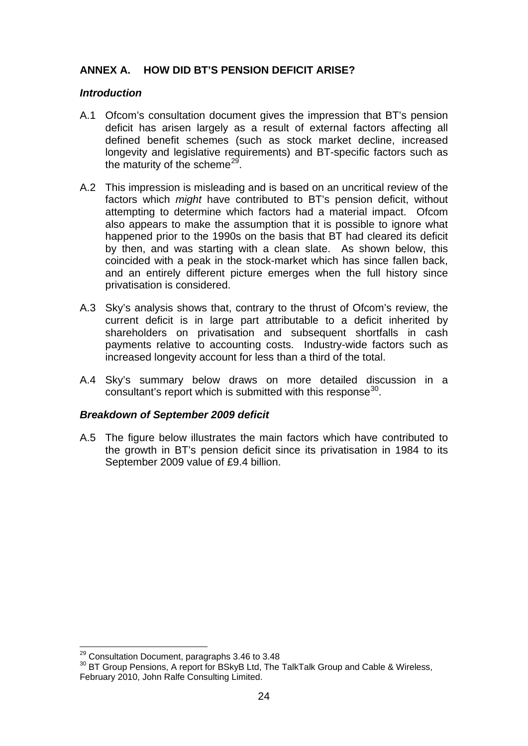## **ANNEX A. HOW DID BT'S PENSION DEFICIT ARISE?**

### *Introduction*

- A.1 Ofcom's consultation document gives the impression that BT's pension deficit has arisen largely as a result of external factors affecting all defined benefit schemes (such as stock market decline, increased longevity and legislative requirements) and BT-specific factors such as the maturity of the scheme<sup>[29](#page-23-0)</sup>.
- A.2 This impression is misleading and is based on an uncritical review of the factors which *might* have contributed to BT's pension deficit, without attempting to determine which factors had a material impact. Ofcom also appears to make the assumption that it is possible to ignore what happened prior to the 1990s on the basis that BT had cleared its deficit by then, and was starting with a clean slate. As shown below, this coincided with a peak in the stock-market which has since fallen back, and an entirely different picture emerges when the full history since privatisation is considered.
- A.3 Sky's analysis shows that, contrary to the thrust of Ofcom's review, the current deficit is in large part attributable to a deficit inherited by shareholders on privatisation and subsequent shortfalls in cash payments relative to accounting costs. Industry-wide factors such as increased longevity account for less than a third of the total.
- A.4 Sky's summary below draws on more detailed discussion in a consultant's report which is submitted with this response $30$ .

### *Breakdown of September 2009 deficit*

A.5 The figure below illustrates the main factors which have contributed to the growth in BT's pension deficit since its privatisation in 1984 to its September 2009 value of £9.4 billion.

<span id="page-23-1"></span><span id="page-23-0"></span><sup>&</sup>lt;sup>29</sup> Consultation Document, paragraphs 3.46 to 3.48<br><sup>30</sup> BT Group Pensions, A report for BSkyB Ltd, The TalkTalk Group and Cable & Wireless, February 2010, John Ralfe Consulting Limited.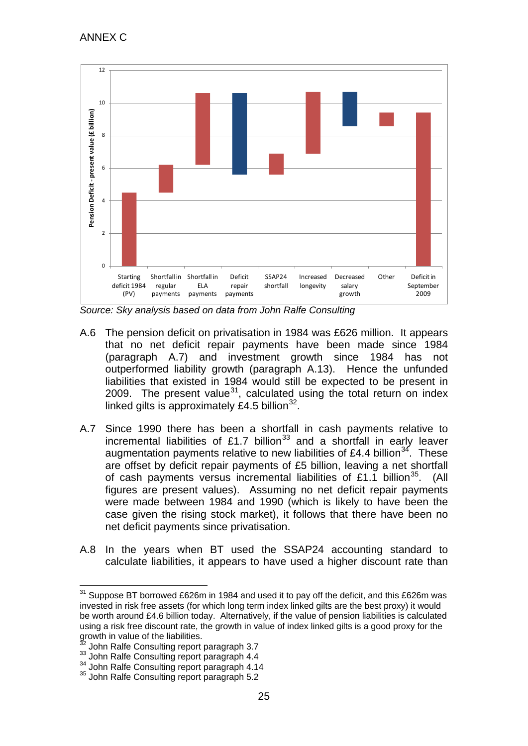

*Source: Sky analysis based on data from John Ralfe Consulting*

- A.6 The pension deficit on privatisation in 1984 was £626 million. It appears that no net deficit repair payments have been made since 1984 (paragraph [A.7\)](#page-24-0) and investment growth since 1984 has not outperformed liability growth (paragraph [A.13\)](#page-26-0). Hence the unfunded liabilities that existed in 1984 would still be expected to be present in 2009. The present value<sup>31</sup>, calculated using the total return on index linked gilts is approximately £4.5 billion $^{32}$  $^{32}$  $^{32}$ .
- <span id="page-24-0"></span>A.7 Since 1990 there has been a shortfall in cash payments relative to incremental liabilities of £1.7 billion<sup>[33](#page-24-3)</sup> and a shortfall in early leaver augmentation payments relative to new liabilities of £4.4 billion<sup>[34](#page-24-4)</sup>. These are offset by deficit repair payments of £5 billion, leaving a net shortfall of cash payments versus incremental liabilities of £1.1 billion<sup>[35](#page-24-5)</sup>. (All figures are present values). Assuming no net deficit repair payments were made between 1984 and 1990 (which is likely to have been the case given the rising stock market), it follows that there have been no net deficit payments since privatisation.
- A.8 In the years when BT used the SSAP24 accounting standard to calculate liabilities, it appears to have used a higher discount rate than

<span id="page-24-1"></span> $31$  Suppose BT borrowed £626m in 1984 and used it to pay off the deficit, and this £626m was invested in risk free assets (for which long term index linked gilts are the best proxy) it would be worth around £4.6 billion today. Alternatively, if the value of pension liabilities is calculated using a risk free discount rate, the growth in value of index linked gilts is a good proxy for the growth in value of the liabilities.<br><sup>32</sup> John Ralfe Consulting report paragraph 3.7

<span id="page-24-3"></span><span id="page-24-2"></span><sup>33</sup> John Ralfe Consulting report paragraph 4.4<br><sup>34</sup> John Ralfe Consulting report paragraph 4.14<br><sup>35</sup> John Ralfe Consulting report paragraph 5.2

<span id="page-24-5"></span><span id="page-24-4"></span>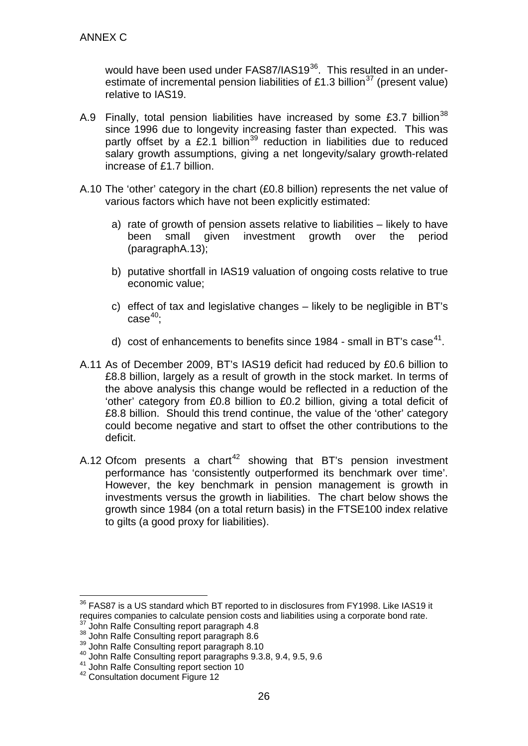would have been used under FAS87/IAS19<sup>36</sup>. This resulted in an under-estimate of incremental pension liabilities of £1.3 billion<sup>[37](#page-25-1)</sup> (present value) relative to IAS19.

- A.9 Finally, total pension liabilities have increased by some £3.7 billion<sup>[38](#page-25-2)</sup> since 1996 due to longevity increasing faster than expected. This was partly offset by a £2.1 billion<sup>[39](#page-25-3)</sup> reduction in liabilities due to reduced salary growth assumptions, giving a net longevity/salary growth-related increase of £1.7 billion.
- A.10 The 'other' category in the chart (£0.8 billion) represents the net value of various factors which have not been explicitly estimated:
	- a) rate of growth of pension assets relative to liabilities likely to have been small given investment growth over the period (paragrap[hA.13\)](#page-26-0);
	- b) putative shortfall in IAS19 valuation of ongoing costs relative to true economic value;
	- c) effect of tax and legislative changes likely to be negligible in BT's  $\mathsf{case}^{40};$  $\mathsf{case}^{40};$  $\mathsf{case}^{40};$
	- d) cost of enhancements to benefits since 1984 small in BT's case<sup>[41](#page-25-5)</sup>.
- A.11 As of December 2009, BT's IAS19 deficit had reduced by £0.6 billion to £8.8 billion, largely as a result of growth in the stock market. In terms of the above analysis this change would be reflected in a reduction of the 'other' category from £0.8 billion to £0.2 billion, giving a total deficit of £8.8 billion. Should this trend continue, the value of the 'other' category could become negative and start to offset the other contributions to the deficit.
- A.12 Ofcom presents a chart<sup>[42](#page-25-6)</sup> showing that BT's pension investment performance has 'consistently outperformed its benchmark over time'. However, the key benchmark in pension management is growth in investments versus the growth in liabilities. The chart below shows the growth since 1984 (on a total return basis) in the FTSE100 index relative to gilts (a good proxy for liabilities).

<span id="page-25-0"></span> $36$  FAS87 is a US standard which BT reported to in disclosures from FY1998. Like IAS19 it requires companies to calculate pension costs and liabilities using a corporate bond rate.

<span id="page-25-3"></span>

<span id="page-25-2"></span><span id="page-25-1"></span><sup>&</sup>lt;sup>37</sup> John Ralfe Consulting report paragraph 4.8<br><sup>38</sup> John Ralfe Consulting report paragraph 8.6<br><sup>39</sup> John Ralfe Consulting report paragraph 8.10<br><sup>40</sup> John Ralfe Consulting report paragraphs 9.3.8, 9.4, 9.5, 9.6

<span id="page-25-6"></span><span id="page-25-5"></span><span id="page-25-4"></span><sup>&</sup>lt;sup>41</sup> John Ralfe Consulting report section 10<br><sup>42</sup> Consultation document Figure 12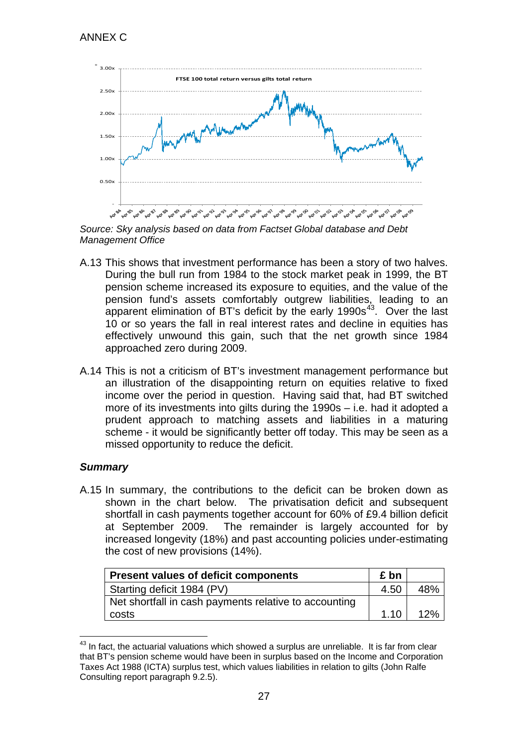

*Source: Sky analysis based on data from Factset Global database and Debt Management Office*

- <span id="page-26-0"></span>A.13 This shows that investment performance has been a story of two halves. During the bull run from 1984 to the stock market peak in 1999, the BT pension scheme increased its exposure to equities, and the value of the pension fund's assets comfortably outgrew liabilities, leading to an apparent elimination of BT's deficit by the early  $1990s^{43}$  $1990s^{43}$  $1990s^{43}$ . Over the last 10 or so years the fall in real interest rates and decline in equities has effectively unwound this gain, such that the net growth since 1984 approached zero during 2009.
- A.14 This is not a criticism of BT's investment management performance but an illustration of the disappointing return on equities relative to fixed income over the period in question. Having said that, had BT switched more of its investments into gilts during the 1990s – i.e. had it adopted a prudent approach to matching assets and liabilities in a maturing scheme - it would be significantly better off today. This may be seen as a missed opportunity to reduce the deficit.

## *Summary*

A.15 In summary, the contributions to the deficit can be broken down as shown in the chart below. The privatisation deficit and subsequent shortfall in cash payments together account for 60% of £9.4 billion deficit at September 2009. The remainder is largely accounted for by increased longevity (18%) and past accounting policies under-estimating the cost of new provisions (14%).

| <b>Present values of deficit components</b>           | £ bn |     |
|-------------------------------------------------------|------|-----|
| Starting deficit 1984 (PV)                            | 4.50 | 48% |
| Net shortfall in cash payments relative to accounting |      |     |
| costs                                                 | 1.10 | 12% |

<span id="page-26-1"></span> $43$  In fact, the actuarial valuations which showed a surplus are unreliable. It is far from clear that BT's pension scheme would have been in surplus based on the Income and Corporation Taxes Act 1988 (ICTA) surplus test, which values liabilities in relation to gilts (John Ralfe Consulting report paragraph 9.2.5).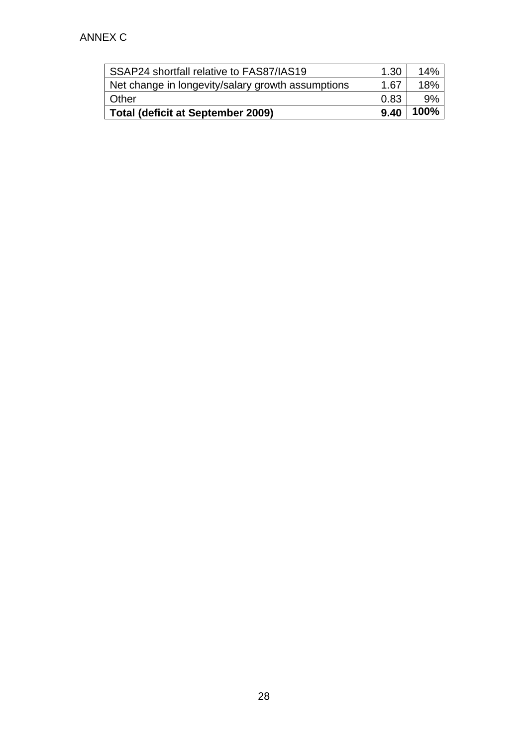| SSAP24 shortfall relative to FAS87/IAS19          | 1.30 | 14%  |
|---------------------------------------------------|------|------|
| Net change in longevity/salary growth assumptions | 1.67 | 18%  |
| l Other                                           | 0.83 | 9%   |
| Total (deficit at September 2009)                 | 9.40 | 100% |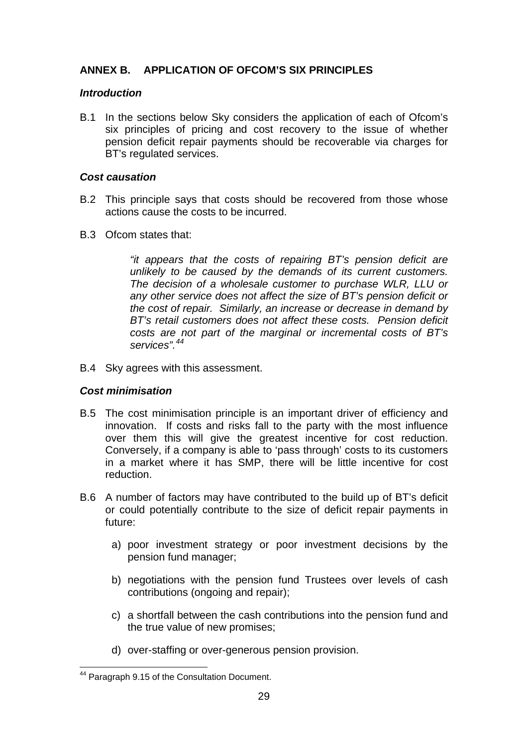## **ANNEX B. APPLICATION OF OFCOM'S SIX PRINCIPLES**

### *Introduction*

B.1 In the sections below Sky considers the application of each of Ofcom's six principles of pricing and cost recovery to the issue of whether pension deficit repair payments should be recoverable via charges for BT's regulated services.

#### *Cost causation*

- B.2 This principle says that costs should be recovered from those whose actions cause the costs to be incurred.
- B.3 Ofcom states that:

*"it appears that the costs of repairing BT's pension deficit are unlikely to be caused by the demands of its current customers. The decision of a wholesale customer to purchase WLR, LLU or any other service does not affect the size of BT's pension deficit or the cost of repair. Similarly, an increase or decrease in demand by BT's retail customers does not affect these costs. Pension deficit costs are not part of the marginal or incremental costs of BT's services".[44](#page-28-0)*

B.4 Sky agrees with this assessment.

### *Cost minimisation*

- B.5 The cost minimisation principle is an important driver of efficiency and innovation. If costs and risks fall to the party with the most influence over them this will give the greatest incentive for cost reduction. Conversely, if a company is able to 'pass through' costs to its customers in a market where it has SMP, there will be little incentive for cost reduction.
- B.6 A number of factors may have contributed to the build up of BT's deficit or could potentially contribute to the size of deficit repair payments in future:
	- a) poor investment strategy or poor investment decisions by the pension fund manager;
	- b) negotiations with the pension fund Trustees over levels of cash contributions (ongoing and repair);
	- c) a shortfall between the cash contributions into the pension fund and the true value of new promises;
	- d) over-staffing or over-generous pension provision.

<span id="page-28-0"></span> <sup>44</sup> Paragraph 9.15 of the Consultation Document.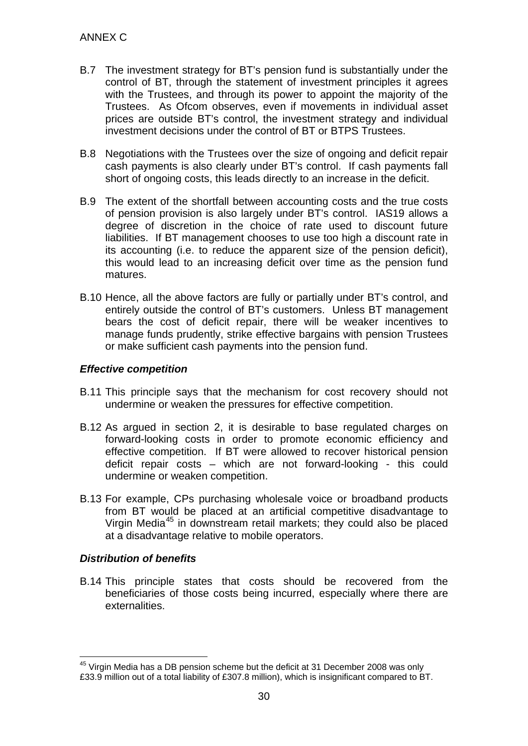- B.7 The investment strategy for BT's pension fund is substantially under the control of BT, through the statement of investment principles it agrees with the Trustees, and through its power to appoint the majority of the Trustees. As Ofcom observes, even if movements in individual asset prices are outside BT's control, the investment strategy and individual investment decisions under the control of BT or BTPS Trustees.
- B.8 Negotiations with the Trustees over the size of ongoing and deficit repair cash payments is also clearly under BT's control. If cash payments fall short of ongoing costs, this leads directly to an increase in the deficit.
- B.9 The extent of the shortfall between accounting costs and the true costs of pension provision is also largely under BT's control. IAS19 allows a degree of discretion in the choice of rate used to discount future liabilities. If BT management chooses to use too high a discount rate in its accounting (i.e. to reduce the apparent size of the pension deficit), this would lead to an increasing deficit over time as the pension fund matures.
- B.10 Hence, all the above factors are fully or partially under BT's control, and entirely outside the control of BT's customers. Unless BT management bears the cost of deficit repair, there will be weaker incentives to manage funds prudently, strike effective bargains with pension Trustees or make sufficient cash payments into the pension fund.

### *Effective competition*

- B.11 This principle says that the mechanism for cost recovery should not undermine or weaken the pressures for effective competition.
- B.12 As argued in section 2, it is desirable to base regulated charges on forward-looking costs in order to promote economic efficiency and effective competition. If BT were allowed to recover historical pension deficit repair costs – which are not forward-looking - this could undermine or weaken competition.
- B.13 For example, CPs purchasing wholesale voice or broadband products from BT would be placed at an artificial competitive disadvantage to Virgin Media<sup>[45](#page-29-0)</sup> in downstream retail markets; they could also be placed at a disadvantage relative to mobile operators.

## *Distribution of benefits*

B.14 This principle states that costs should be recovered from the beneficiaries of those costs being incurred, especially where there are externalities.

<span id="page-29-0"></span><sup>&</sup>lt;sup>45</sup> Virgin Media has a DB pension scheme but the deficit at 31 December 2008 was only £33.9 million out of a total liability of £307.8 million), which is insignificant compared to BT.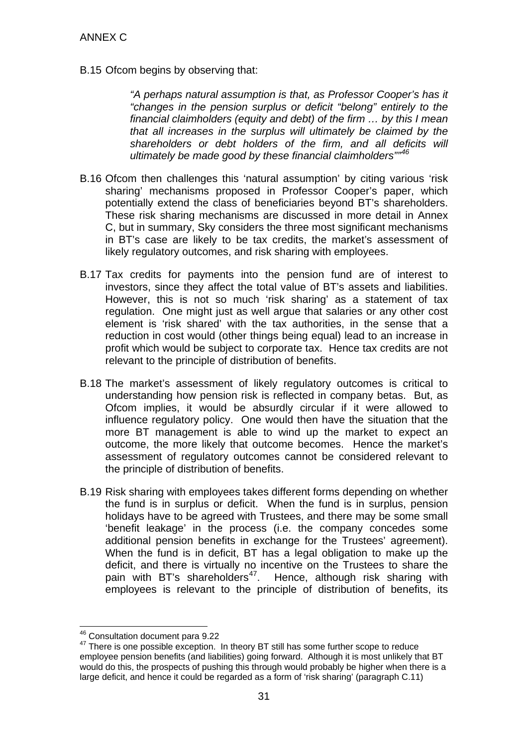B.15 Ofcom begins by observing that:

*"A perhaps natural assumption is that, as Professor Cooper's has it "changes in the pension surplus or deficit "belong" entirely to the financial claimholders (equity and debt) of the firm … by this I mean that all increases in the surplus will ultimately be claimed by the shareholders or debt holders of the firm, and all deficits will ultimately be made good by these financial claimholders""[46](#page-30-0)*

- B.16 Ofcom then challenges this 'natural assumption' by citing various 'risk sharing' mechanisms proposed in Professor Cooper's paper, which potentially extend the class of beneficiaries beyond BT's shareholders. These risk sharing mechanisms are discussed in more detail in Annex C, but in summary, Sky considers the three most significant mechanisms in BT's case are likely to be tax credits, the market's assessment of likely regulatory outcomes, and risk sharing with employees.
- B.17 Tax credits for payments into the pension fund are of interest to investors, since they affect the total value of BT's assets and liabilities. However, this is not so much 'risk sharing' as a statement of tax regulation. One might just as well argue that salaries or any other cost element is 'risk shared' with the tax authorities, in the sense that a reduction in cost would (other things being equal) lead to an increase in profit which would be subject to corporate tax. Hence tax credits are not relevant to the principle of distribution of benefits.
- B.18 The market's assessment of likely regulatory outcomes is critical to understanding how pension risk is reflected in company betas. But, as Ofcom implies, it would be absurdly circular if it were allowed to influence regulatory policy. One would then have the situation that the more BT management is able to wind up the market to expect an outcome, the more likely that outcome becomes. Hence the market's assessment of regulatory outcomes cannot be considered relevant to the principle of distribution of benefits.
- B.19 Risk sharing with employees takes different forms depending on whether the fund is in surplus or deficit. When the fund is in surplus, pension holidays have to be agreed with Trustees, and there may be some small 'benefit leakage' in the process (i.e. the company concedes some additional pension benefits in exchange for the Trustees' agreement). When the fund is in deficit, BT has a legal obligation to make up the deficit, and there is virtually no incentive on the Trustees to share the pain with BT's shareholders<sup>[47](#page-30-1)</sup>. Hence, although risk sharing with employees is relevant to the principle of distribution of benefits, its

 <sup>46</sup> Consultation document para 9.22

<span id="page-30-1"></span><span id="page-30-0"></span><sup>47</sup> There is one possible exception. In theory BT still has some further scope to reduce employee pension benefits (and liabilities) going forward. Although it is most unlikely that BT would do this, the prospects of pushing this through would probably be higher when there is a large deficit, and hence it could be regarded as a form of 'risk sharing' (paragraph [C.11\)](#page-35-1)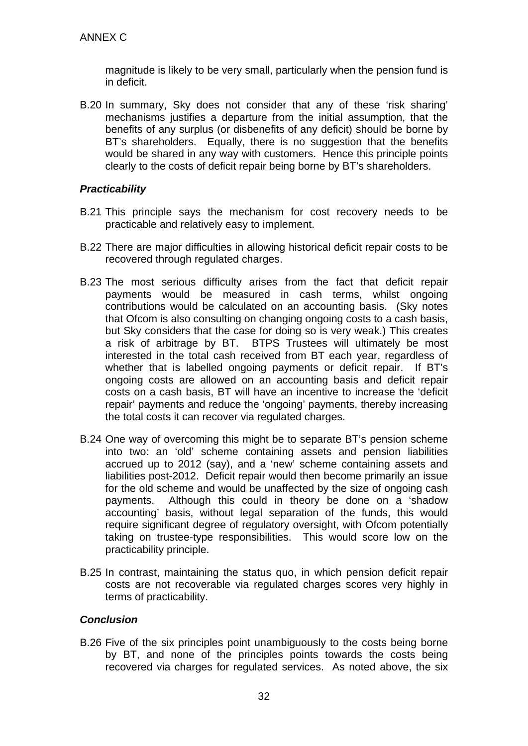magnitude is likely to be very small, particularly when the pension fund is in deficit.

B.20 In summary, Sky does not consider that any of these 'risk sharing' mechanisms justifies a departure from the initial assumption, that the benefits of any surplus (or disbenefits of any deficit) should be borne by BT's shareholders. Equally, there is no suggestion that the benefits would be shared in any way with customers. Hence this principle points clearly to the costs of deficit repair being borne by BT's shareholders.

### *Practicability*

- B.21 This principle says the mechanism for cost recovery needs to be practicable and relatively easy to implement.
- B.22 There are major difficulties in allowing historical deficit repair costs to be recovered through regulated charges.
- B.23 The most serious difficulty arises from the fact that deficit repair payments would be measured in cash terms, whilst ongoing contributions would be calculated on an accounting basis. (Sky notes that Ofcom is also consulting on changing ongoing costs to a cash basis, but Sky considers that the case for doing so is very weak.) This creates a risk of arbitrage by BT. BTPS Trustees will ultimately be most interested in the total cash received from BT each year, regardless of whether that is labelled ongoing payments or deficit repair. If BT's ongoing costs are allowed on an accounting basis and deficit repair costs on a cash basis, BT will have an incentive to increase the 'deficit repair' payments and reduce the 'ongoing' payments, thereby increasing the total costs it can recover via regulated charges.
- B.24 One way of overcoming this might be to separate BT's pension scheme into two: an 'old' scheme containing assets and pension liabilities accrued up to 2012 (say), and a 'new' scheme containing assets and liabilities post-2012. Deficit repair would then become primarily an issue for the old scheme and would be unaffected by the size of ongoing cash payments. Although this could in theory be done on a 'shadow accounting' basis, without legal separation of the funds, this would require significant degree of regulatory oversight, with Ofcom potentially taking on trustee-type responsibilities. This would score low on the practicability principle.
- B.25 In contrast, maintaining the status quo, in which pension deficit repair costs are not recoverable via regulated charges scores very highly in terms of practicability.

### *Conclusion*

B.26 Five of the six principles point unambiguously to the costs being borne by BT, and none of the principles points towards the costs being recovered via charges for regulated services. As noted above, the six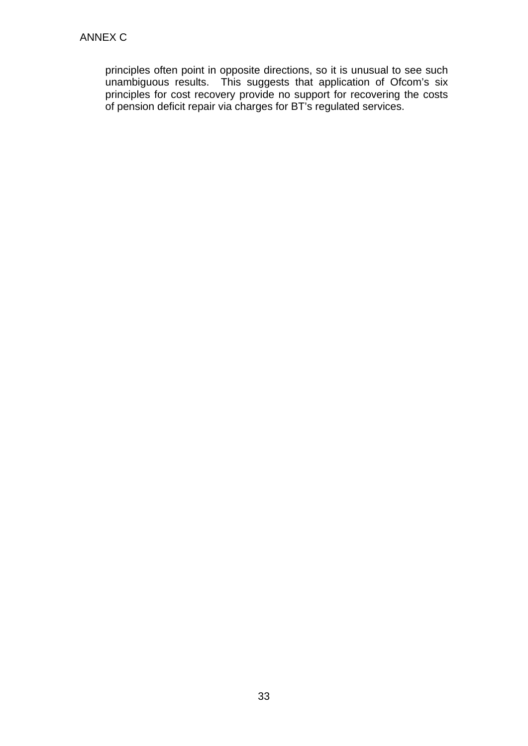principles often point in opposite directions, so it is unusual to see such unambiguous results. This suggests that application of Ofcom's six principles for cost recovery provide no support for recovering the costs of pension deficit repair via charges for BT's regulated services.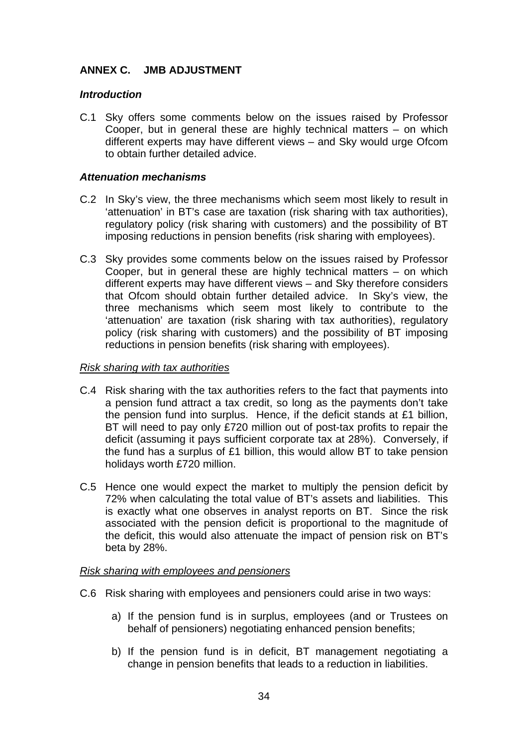## **ANNEX C. JMB ADJUSTMENT**

### *Introduction*

C.1 Sky offers some comments below on the issues raised by Professor Cooper, but in general these are highly technical matters – on which different experts may have different views – and Sky would urge Ofcom to obtain further detailed advice.

### *Attenuation mechanisms*

- C.2 In Sky's view, the three mechanisms which seem most likely to result in 'attenuation' in BT's case are taxation (risk sharing with tax authorities), regulatory policy (risk sharing with customers) and the possibility of BT imposing reductions in pension benefits (risk sharing with employees).
- C.3 Sky provides some comments below on the issues raised by Professor Cooper, but in general these are highly technical matters – on which different experts may have different views – and Sky therefore considers that Ofcom should obtain further detailed advice. In Sky's view, the three mechanisms which seem most likely to contribute to the 'attenuation' are taxation (risk sharing with tax authorities), regulatory policy (risk sharing with customers) and the possibility of BT imposing reductions in pension benefits (risk sharing with employees).

#### *Risk sharing with tax authorities*

- C.4 Risk sharing with the tax authorities refers to the fact that payments into a pension fund attract a tax credit, so long as the payments don't take the pension fund into surplus. Hence, if the deficit stands at £1 billion, BT will need to pay only £720 million out of post-tax profits to repair the deficit (assuming it pays sufficient corporate tax at 28%). Conversely, if the fund has a surplus of £1 billion, this would allow BT to take pension holidays worth £720 million.
- C.5 Hence one would expect the market to multiply the pension deficit by 72% when calculating the total value of BT's assets and liabilities. This is exactly what one observes in analyst reports on BT. Since the risk associated with the pension deficit is proportional to the magnitude of the deficit, this would also attenuate the impact of pension risk on BT's beta by 28%.

#### *Risk sharing with employees and pensioners*

- C.6 Risk sharing with employees and pensioners could arise in two ways:
	- a) If the pension fund is in surplus, employees (and or Trustees on behalf of pensioners) negotiating enhanced pension benefits;
	- b) If the pension fund is in deficit, BT management negotiating a change in pension benefits that leads to a reduction in liabilities.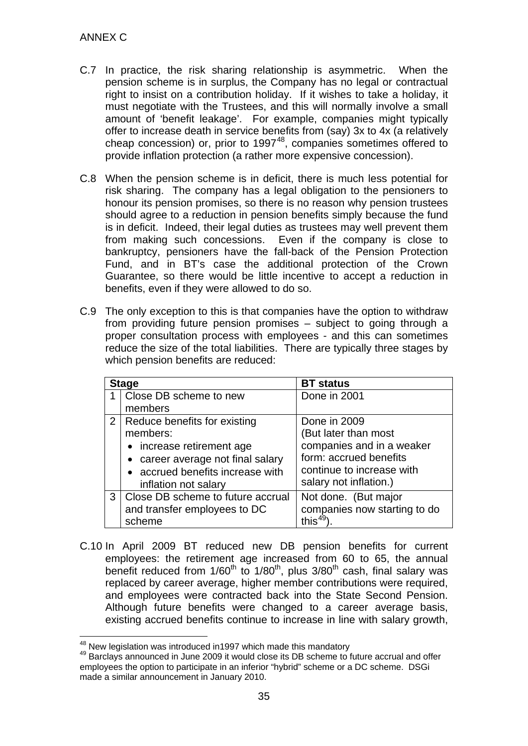- C.7 In practice, the risk sharing relationship is asymmetric. When the pension scheme is in surplus, the Company has no legal or contractual right to insist on a contribution holiday. If it wishes to take a holiday, it must negotiate with the Trustees, and this will normally involve a small amount of 'benefit leakage'. For example, companies might typically offer to increase death in service benefits from (say) 3x to 4x (a relatively cheap concession) or, prior to  $1997^{48}$  $1997^{48}$  $1997^{48}$ , companies sometimes offered to provide inflation protection (a rather more expensive concession).
- C.8 When the pension scheme is in deficit, there is much less potential for risk sharing. The company has a legal obligation to the pensioners to honour its pension promises, so there is no reason why pension trustees should agree to a reduction in pension benefits simply because the fund is in deficit. Indeed, their legal duties as trustees may well prevent them from making such concessions. Even if the company is close to bankruptcy, pensioners have the fall-back of the Pension Protection Fund, and in BT's case the additional protection of the Crown Guarantee, so there would be little incentive to accept a reduction in benefits, even if they were allowed to do so.
- C.9 The only exception to this is that companies have the option to withdraw from providing future pension promises – subject to going through a proper consultation process with employees - and this can sometimes reduce the size of the total liabilities. There are typically three stages by which pension benefits are reduced:

|   | <b>Stage</b>                      | <b>BT</b> status             |
|---|-----------------------------------|------------------------------|
|   | Close DB scheme to new            | Done in 2001                 |
|   | members                           |                              |
|   | 2   Reduce benefits for existing  | Done in 2009                 |
|   | members:                          | (But later than most         |
|   | • increase retirement age         | companies and in a weaker    |
|   | • career average not final salary | form: accrued benefits       |
|   | • accrued benefits increase with  | continue to increase with    |
|   | inflation not salary              | salary not inflation.)       |
| 3 | Close DB scheme to future accrual | Not done. (But major         |
|   | and transfer employees to DC      | companies now starting to do |
|   | scheme                            | this $^{49}$                 |

C.10 In April 2009 BT reduced new DB pension benefits for current employees: the retirement age increased from 60 to 65, the annual benefit reduced from  $1/60^{th}$  to  $1/80^{th}$ , plus  $3/80^{th}$  cash, final salary was replaced by career average, higher member contributions were required, and employees were contracted back into the State Second Pension. Although future benefits were changed to a career average basis, existing accrued benefits continue to increase in line with salary growth,

<span id="page-34-1"></span><span id="page-34-0"></span> $48$  New legislation was introduced in1997 which made this mandatory<br> $49$  Barclavs announced in June 2009 it would close its DB scheme to future accrual and offer employees the option to participate in an inferior "hybrid" scheme or a DC scheme. DSGi made a similar announcement in January 2010.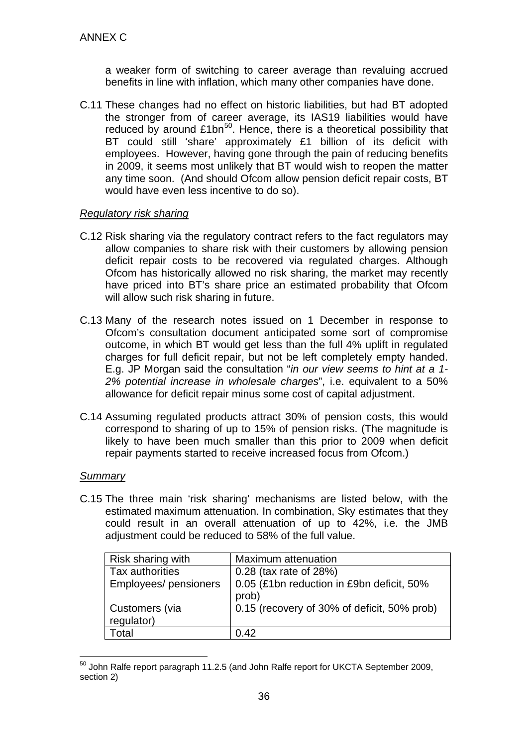<span id="page-35-1"></span>a weaker form of switching to career average than revaluing accrued benefits in line with inflation, which many other companies have done.

C.11 These changes had no effect on historic liabilities, but had BT adopted the stronger from of career average, its IAS19 liabilities would have reduced by around  $£1bn^{50}$ . Hence, there is a theoretical possibility that BT could still 'share' approximately £1 billion of its deficit with employees. However, having gone through the pain of reducing benefits in 2009, it seems most unlikely that BT would wish to reopen the matter any time soon. (And should Ofcom allow pension deficit repair costs, BT would have even less incentive to do so).

### *Regulatory risk sharing*

- C.12 Risk sharing via the regulatory contract refers to the fact regulators may allow companies to share risk with their customers by allowing pension deficit repair costs to be recovered via regulated charges. Although Ofcom has historically allowed no risk sharing, the market may recently have priced into BT's share price an estimated probability that Ofcom will allow such risk sharing in future.
- C.13 Many of the research notes issued on 1 December in response to Ofcom's consultation document anticipated some sort of compromise outcome, in which BT would get less than the full 4% uplift in regulated charges for full deficit repair, but not be left completely empty handed. E.g. JP Morgan said the consultation "*in our view seems to hint at a 1- 2% potential increase in wholesale charges*", i.e. equivalent to a 50% allowance for deficit repair minus some cost of capital adjustment.
- C.14 Assuming regulated products attract 30% of pension costs, this would correspond to sharing of up to 15% of pension risks. (The magnitude is likely to have been much smaller than this prior to 2009 when deficit repair payments started to receive increased focus from Ofcom.)

### *Summary*

<span id="page-35-0"></span>C.15 The three main 'risk sharing' mechanisms are listed below, with the estimated maximum attenuation. In combination, Sky estimates that they could result in an overall attenuation of up to 42%, i.e. the JMB adjustment could be reduced to 58% of the full value.

| Risk sharing with     | Maximum attenuation                         |
|-----------------------|---------------------------------------------|
| Tax authorities       | 0.28 (tax rate of 28%)                      |
| Employees/ pensioners | 0.05 (£1bn reduction in £9bn deficit, 50%   |
|                       | prob)                                       |
| Customers (via        | 0.15 (recovery of 30% of deficit, 50% prob) |
| regulator)            |                                             |
| Total                 | 0.42                                        |

<span id="page-35-2"></span> <sup>50</sup> John Ralfe report paragraph 11.2.5 (and John Ralfe report for UKCTA September 2009, section 2)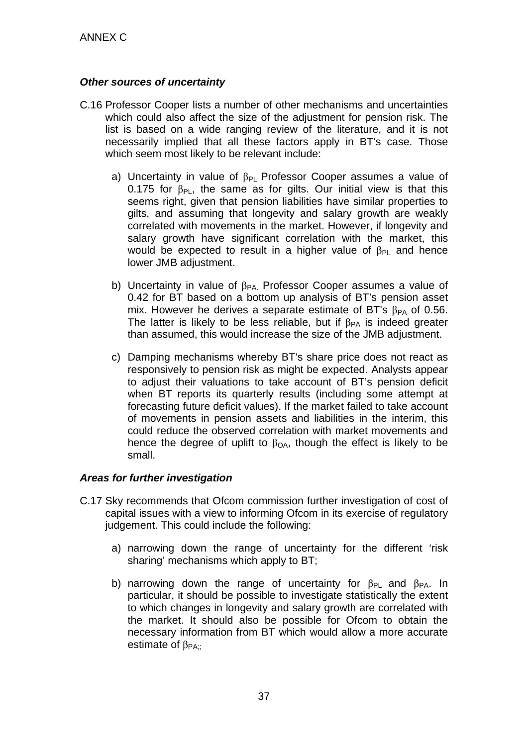### *Other sources of uncertainty*

- C.16 Professor Cooper lists a number of other mechanisms and uncertainties which could also affect the size of the adjustment for pension risk. The list is based on a wide ranging review of the literature, and it is not necessarily implied that all these factors apply in BT's case. Those which seem most likely to be relevant include:
	- a) Uncertainty in value of  $\beta_{PL}$  Professor Cooper assumes a value of 0.175 for  $\beta_{PL}$ , the same as for gilts. Our initial view is that this seems right, given that pension liabilities have similar properties to gilts, and assuming that longevity and salary growth are weakly correlated with movements in the market. However, if longevity and salary growth have significant correlation with the market, this would be expected to result in a higher value of  $\beta_{PI}$  and hence lower JMB adjustment.
	- b) Uncertainty in value of  $\beta_{PA}$  Professor Cooper assumes a value of 0.42 for BT based on a bottom up analysis of BT's pension asset mix. However he derives a separate estimate of BT's  $\beta_{PA}$  of 0.56. The latter is likely to be less reliable, but if  $\beta_{PA}$  is indeed greater than assumed, this would increase the size of the JMB adjustment.
	- c) Damping mechanisms whereby BT's share price does not react as responsively to pension risk as might be expected. Analysts appear to adjust their valuations to take account of BT's pension deficit when BT reports its quarterly results (including some attempt at forecasting future deficit values). If the market failed to take account of movements in pension assets and liabilities in the interim, this could reduce the observed correlation with market movements and hence the degree of uplift to  $\beta_{OA}$ , though the effect is likely to be small.

### *Areas for further investigation*

- C.17 Sky recommends that Ofcom commission further investigation of cost of capital issues with a view to informing Ofcom in its exercise of regulatory judgement. This could include the following:
	- a) narrowing down the range of uncertainty for the different 'risk sharing' mechanisms which apply to BT;
	- b) narrowing down the range of uncertainty for  $\beta_{Pl}$  and  $\beta_{PA}$ . In particular, it should be possible to investigate statistically the extent to which changes in longevity and salary growth are correlated with the market. It should also be possible for Ofcom to obtain the necessary information from BT which would allow a more accurate estimate of  $\beta_{PA}$ .